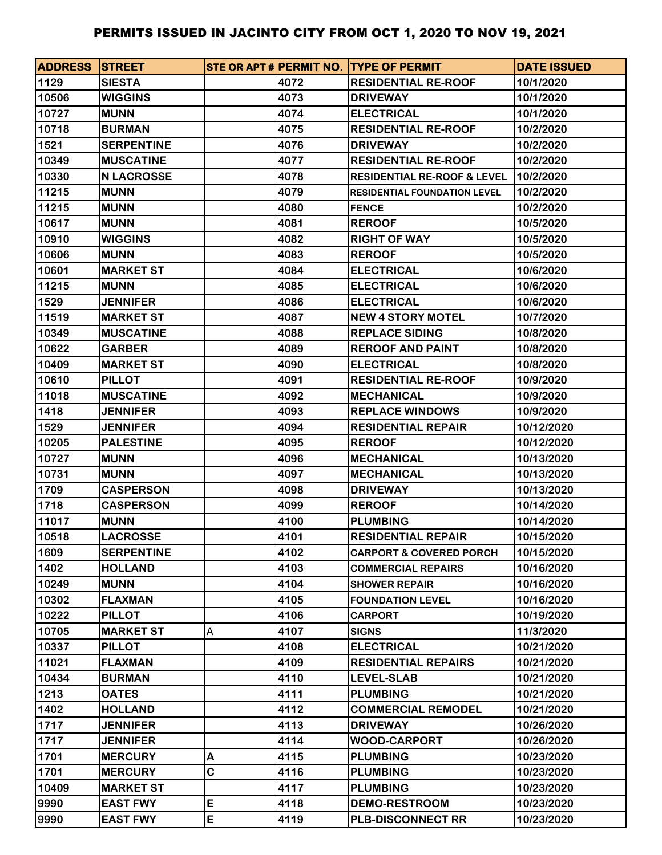| <b>ADDRESS STREET</b> |                   |   |      | STE OR APT # PERMIT NO. TYPE OF PERMIT | <b>DATE ISSUED</b> |
|-----------------------|-------------------|---|------|----------------------------------------|--------------------|
| 1129                  | <b>SIESTA</b>     |   | 4072 | <b>RESIDENTIAL RE-ROOF</b>             | 10/1/2020          |
| 10506                 | <b>WIGGINS</b>    |   | 4073 | <b>DRIVEWAY</b>                        | 10/1/2020          |
| 10727                 | <b>MUNN</b>       |   | 4074 | <b>ELECTRICAL</b>                      | 10/1/2020          |
| 10718                 | <b>BURMAN</b>     |   | 4075 | <b>RESIDENTIAL RE-ROOF</b>             | 10/2/2020          |
| 1521                  | <b>SERPENTINE</b> |   | 4076 | <b>DRIVEWAY</b>                        | 10/2/2020          |
| 10349                 | <b>MUSCATINE</b>  |   | 4077 | <b>RESIDENTIAL RE-ROOF</b>             | 10/2/2020          |
| 10330                 | <b>N LACROSSE</b> |   | 4078 | <b>RESIDENTIAL RE-ROOF &amp; LEVEL</b> | 10/2/2020          |
| 11215                 | <b>MUNN</b>       |   | 4079 | <b>RESIDENTIAL FOUNDATION LEVEL</b>    | 10/2/2020          |
| 11215                 | <b>MUNN</b>       |   | 4080 | <b>FENCE</b>                           | 10/2/2020          |
| 10617                 | <b>MUNN</b>       |   | 4081 | <b>REROOF</b>                          | 10/5/2020          |
| 10910                 | <b>WIGGINS</b>    |   | 4082 | <b>RIGHT OF WAY</b>                    | 10/5/2020          |
| 10606                 | <b>MUNN</b>       |   | 4083 | <b>REROOF</b>                          | 10/5/2020          |
| 10601                 | <b>MARKET ST</b>  |   | 4084 | <b>ELECTRICAL</b>                      | 10/6/2020          |
| 11215                 | <b>MUNN</b>       |   | 4085 | <b>ELECTRICAL</b>                      | 10/6/2020          |
| 1529                  | <b>JENNIFER</b>   |   | 4086 | <b>ELECTRICAL</b>                      | 10/6/2020          |
| 11519                 | <b>MARKET ST</b>  |   | 4087 | <b>NEW 4 STORY MOTEL</b>               | 10/7/2020          |
| 10349                 | <b>MUSCATINE</b>  |   | 4088 | <b>REPLACE SIDING</b>                  | 10/8/2020          |
| 10622                 | <b>GARBER</b>     |   | 4089 | <b>REROOF AND PAINT</b>                | 10/8/2020          |
| 10409                 | <b>MARKET ST</b>  |   | 4090 | <b>ELECTRICAL</b>                      | 10/8/2020          |
| 10610                 | <b>PILLOT</b>     |   | 4091 | <b>RESIDENTIAL RE-ROOF</b>             | 10/9/2020          |
| 11018                 | <b>MUSCATINE</b>  |   | 4092 | <b>MECHANICAL</b>                      | 10/9/2020          |
| 1418                  | <b>JENNIFER</b>   |   | 4093 | <b>REPLACE WINDOWS</b>                 | 10/9/2020          |
| 1529                  | <b>JENNIFER</b>   |   | 4094 | <b>RESIDENTIAL REPAIR</b>              | 10/12/2020         |
| 10205                 | <b>PALESTINE</b>  |   | 4095 | <b>REROOF</b>                          | 10/12/2020         |
| 10727                 | <b>MUNN</b>       |   | 4096 | <b>MECHANICAL</b>                      | 10/13/2020         |
| 10731                 | <b>MUNN</b>       |   | 4097 | <b>MECHANICAL</b>                      | 10/13/2020         |
| 1709                  | <b>CASPERSON</b>  |   | 4098 | <b>DRIVEWAY</b>                        | 10/13/2020         |
| 1718                  | <b>CASPERSON</b>  |   | 4099 | <b>REROOF</b>                          | 10/14/2020         |
| 11017                 | <b>MUNN</b>       |   | 4100 | <b>PLUMBING</b>                        | 10/14/2020         |
| 10518                 | <b>LACROSSE</b>   |   | 4101 | <b>RESIDENTIAL REPAIR</b>              | 10/15/2020         |
| 1609                  | <b>SERPENTINE</b> |   | 4102 | <b>CARPORT &amp; COVERED PORCH</b>     | 10/15/2020         |
| 1402                  | <b>HOLLAND</b>    |   | 4103 | <b>COMMERCIAL REPAIRS</b>              | 10/16/2020         |
| 10249                 | <b>MUNN</b>       |   | 4104 | <b>SHOWER REPAIR</b>                   | 10/16/2020         |
| 10302                 | <b>FLAXMAN</b>    |   | 4105 | <b>FOUNDATION LEVEL</b>                | 10/16/2020         |
| 10222                 | <b>PILLOT</b>     |   | 4106 | <b>CARPORT</b>                         | 10/19/2020         |
| 10705                 | <b>MARKET ST</b>  | A | 4107 | <b>SIGNS</b>                           | 11/3/2020          |
| 10337                 | <b>PILLOT</b>     |   | 4108 | <b>ELECTRICAL</b>                      | 10/21/2020         |
| 11021                 | <b>FLAXMAN</b>    |   | 4109 | <b>RESIDENTIAL REPAIRS</b>             | 10/21/2020         |
| 10434                 | <b>BURMAN</b>     |   | 4110 | <b>LEVEL-SLAB</b>                      | 10/21/2020         |
| 1213                  | <b>OATES</b>      |   | 4111 | <b>PLUMBING</b>                        | 10/21/2020         |
| 1402                  | <b>HOLLAND</b>    |   | 4112 | <b>COMMERCIAL REMODEL</b>              | 10/21/2020         |
| 1717                  | <b>JENNIFER</b>   |   | 4113 | <b>DRIVEWAY</b>                        | 10/26/2020         |
| 1717                  | <b>JENNIFER</b>   |   | 4114 | <b>WOOD-CARPORT</b>                    | 10/26/2020         |
| 1701                  | <b>MERCURY</b>    | Α | 4115 | <b>PLUMBING</b>                        | 10/23/2020         |
| 1701                  | <b>MERCURY</b>    | C | 4116 | <b>PLUMBING</b>                        | 10/23/2020         |
| 10409                 | <b>MARKET ST</b>  |   | 4117 | <b>PLUMBING</b>                        | 10/23/2020         |
| 9990                  | <b>EAST FWY</b>   | E | 4118 | <b>DEMO-RESTROOM</b>                   | 10/23/2020         |
| 9990                  | <b>EAST FWY</b>   | E | 4119 | <b>PLB-DISCONNECT RR</b>               | 10/23/2020         |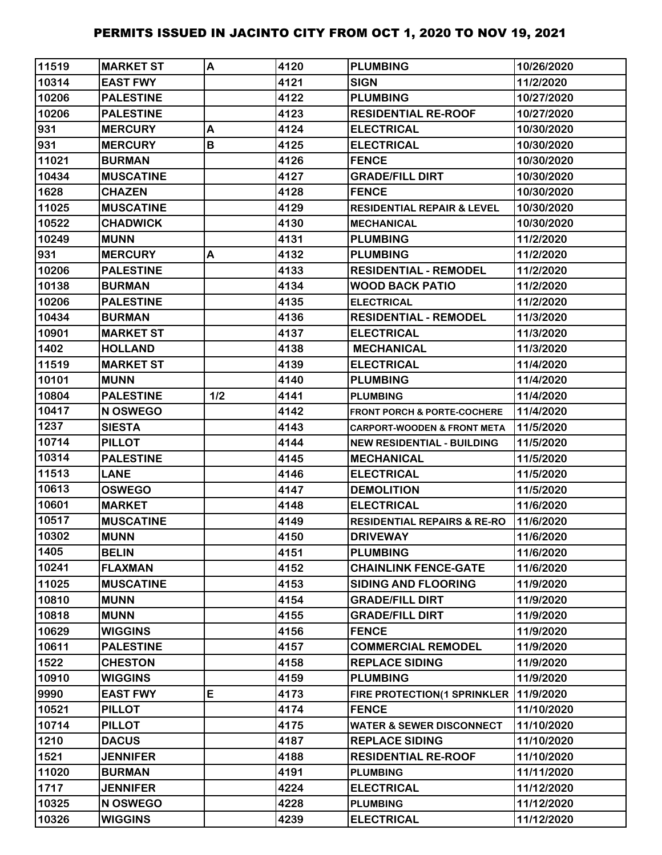| 11519          | <b>MARKET ST</b>               | A   | 4120         | <b>PLUMBING</b>                                              | 10/26/2020               |
|----------------|--------------------------------|-----|--------------|--------------------------------------------------------------|--------------------------|
| 10314          | <b>EAST FWY</b>                |     | 4121         | <b>SIGN</b>                                                  | 11/2/2020                |
| 10206          | <b>PALESTINE</b>               |     | 4122         | <b>PLUMBING</b>                                              | 10/27/2020               |
| 10206          | <b>PALESTINE</b>               |     | 4123         | <b>RESIDENTIAL RE-ROOF</b>                                   | 10/27/2020               |
| 931            | <b>MERCURY</b>                 | A   | 4124         | <b>ELECTRICAL</b>                                            | 10/30/2020               |
| 931            | <b>MERCURY</b>                 | B   | 4125         | <b>ELECTRICAL</b>                                            | 10/30/2020               |
| 11021          | <b>BURMAN</b>                  |     | 4126         | <b>FENCE</b>                                                 | 10/30/2020               |
| 10434          | <b>MUSCATINE</b>               |     | 4127         | <b>GRADE/FILL DIRT</b>                                       | 10/30/2020               |
| 1628           | <b>CHAZEN</b>                  |     | 4128         | <b>FENCE</b>                                                 | 10/30/2020               |
| 11025          | <b>MUSCATINE</b>               |     | 4129         | <b>RESIDENTIAL REPAIR &amp; LEVEL</b>                        | 10/30/2020               |
| 10522          | <b>CHADWICK</b>                |     | 4130         | <b>MECHANICAL</b>                                            | 10/30/2020               |
| 10249          | <b>MUNN</b>                    |     | 4131         | <b>PLUMBING</b>                                              | 11/2/2020                |
| 931            | <b>MERCURY</b>                 | A   | 4132         | <b>PLUMBING</b>                                              | 11/2/2020                |
| 10206          | <b>PALESTINE</b>               |     | 4133         | <b>RESIDENTIAL - REMODEL</b>                                 | 11/2/2020                |
| 10138          | <b>BURMAN</b>                  |     | 4134         | <b>WOOD BACK PATIO</b>                                       | 11/2/2020                |
| 10206          | <b>PALESTINE</b>               |     | 4135         | <b>ELECTRICAL</b>                                            | 11/2/2020                |
| 10434          | <b>BURMAN</b>                  |     | 4136         | <b>RESIDENTIAL - REMODEL</b>                                 | 11/3/2020                |
| 10901          | <b>MARKET ST</b>               |     | 4137         | <b>ELECTRICAL</b>                                            | 11/3/2020                |
| 1402           | <b>HOLLAND</b>                 |     | 4138         | <b>MECHANICAL</b>                                            | 11/3/2020                |
| 11519          | <b>MARKET ST</b>               |     | 4139         | <b>ELECTRICAL</b>                                            | 11/4/2020                |
| 10101          | <b>MUNN</b>                    |     | 4140         | <b>PLUMBING</b>                                              | 11/4/2020                |
| 10804          | <b>PALESTINE</b>               | 1/2 | 4141         | <b>PLUMBING</b>                                              | 11/4/2020                |
| 10417          | <b>N OSWEGO</b>                |     | 4142         | <b>FRONT PORCH &amp; PORTE-COCHERE</b>                       | 11/4/2020                |
| 1237           | <b>SIESTA</b>                  |     | 4143         | CARPORT-WOODEN & FRONT META                                  | 11/5/2020                |
| 10714          | <b>PILLOT</b>                  |     | 4144         | <b>NEW RESIDENTIAL - BUILDING</b>                            | 11/5/2020                |
| 10314          | <b>PALESTINE</b>               |     | 4145         | <b>MECHANICAL</b>                                            | 11/5/2020                |
| 11513          | <b>LANE</b>                    |     | 4146         | <b>ELECTRICAL</b>                                            | 11/5/2020                |
| 10613          | <b>OSWEGO</b>                  |     | 4147         | <b>DEMOLITION</b>                                            | 11/5/2020                |
| 10601          | <b>MARKET</b>                  |     | 4148         | <b>ELECTRICAL</b>                                            | 11/6/2020                |
| 10517          | <b>MUSCATINE</b>               |     | 4149         | <b>RESIDENTIAL REPAIRS &amp; RE-RO</b>                       | 11/6/2020                |
| 10302          | <b>MUNN</b>                    |     | 4150         | <b>DRIVEWAY</b>                                              | 11/6/2020                |
| 1405           | <b>BELIN</b>                   |     | 4151         | <b>PLUMBING</b>                                              | 11/6/2020                |
| 10241          | <b>FLAXMAN</b>                 |     | 4152         | <b>CHAINLINK FENCE-GATE</b>                                  | 11/6/2020                |
| 11025          | <b>MUSCATINE</b>               |     | 4153         | <b>SIDING AND FLOORING</b>                                   | 11/9/2020                |
| 10810          | <b>MUNN</b>                    |     | 4154         | <b>GRADE/FILL DIRT</b>                                       | 11/9/2020                |
| 10818          | <b>MUNN</b>                    |     | 4155         | <b>GRADE/FILL DIRT</b>                                       | 11/9/2020                |
| 10629          | <b>WIGGINS</b>                 |     | 4156         | <b>FENCE</b>                                                 | 11/9/2020                |
| 10611          | <b>PALESTINE</b>               |     | 4157         | <b>COMMERCIAL REMODEL</b>                                    | 11/9/2020                |
| 1522           | <b>CHESTON</b>                 |     | 4158         | <b>REPLACE SIDING</b>                                        | 11/9/2020                |
| 10910<br>9990  | <b>WIGGINS</b>                 | E   | 4159         | <b>PLUMBING</b>                                              | 11/9/2020                |
|                | <b>EAST FWY</b>                |     | 4173<br>4174 | FIRE PROTECTION(1 SPRINKLER                                  | 11/9/2020                |
| 10521<br>10714 | <b>PILLOT</b><br><b>PILLOT</b> |     | 4175         | <b>FENCE</b>                                                 | 11/10/2020<br>11/10/2020 |
| 1210           | <b>DACUS</b>                   |     | 4187         | <b>WATER &amp; SEWER DISCONNECT</b><br><b>REPLACE SIDING</b> | 11/10/2020               |
| 1521           | <b>JENNIFER</b>                |     | 4188         | <b>RESIDENTIAL RE-ROOF</b>                                   | 11/10/2020               |
| 11020          | <b>BURMAN</b>                  |     | 4191         | <b>PLUMBING</b>                                              | 11/11/2020               |
| 1717           | <b>JENNIFER</b>                |     | 4224         | <b>ELECTRICAL</b>                                            | 11/12/2020               |
| 10325          | N OSWEGO                       |     | 4228         | <b>PLUMBING</b>                                              | 11/12/2020               |
| 10326          | <b>WIGGINS</b>                 |     | 4239         | <b>ELECTRICAL</b>                                            | 11/12/2020               |
|                |                                |     |              |                                                              |                          |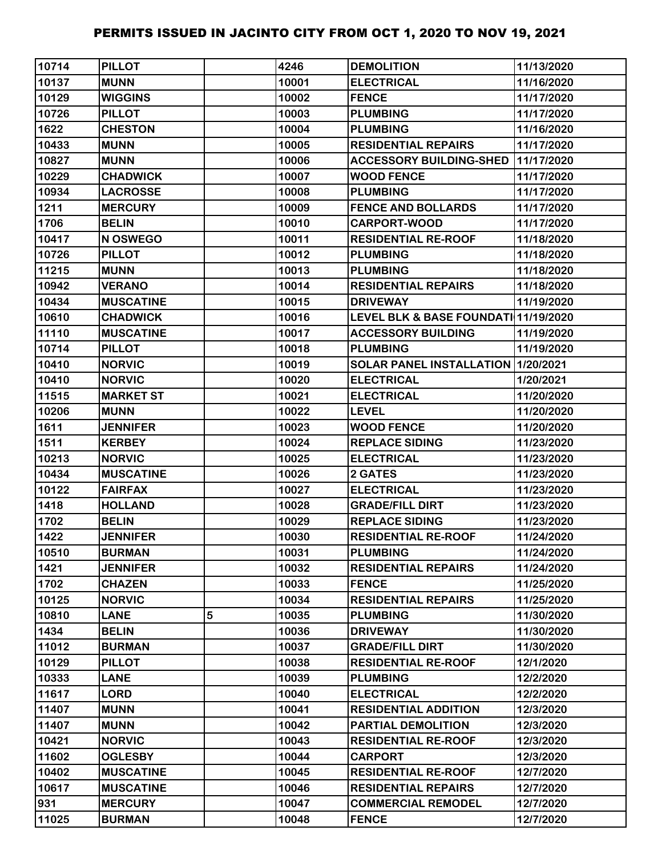| 10714 | <b>PILLOT</b>    |   | 4246  | <b>DEMOLITION</b>                    | 11/13/2020 |
|-------|------------------|---|-------|--------------------------------------|------------|
| 10137 | <b>MUNN</b>      |   | 10001 | <b>ELECTRICAL</b>                    | 11/16/2020 |
| 10129 | <b>WIGGINS</b>   |   | 10002 | <b>FENCE</b>                         | 11/17/2020 |
| 10726 | <b>PILLOT</b>    |   | 10003 | <b>PLUMBING</b>                      | 11/17/2020 |
| 1622  | <b>CHESTON</b>   |   | 10004 | <b>PLUMBING</b>                      | 11/16/2020 |
| 10433 | <b>MUNN</b>      |   | 10005 | <b>RESIDENTIAL REPAIRS</b>           | 11/17/2020 |
| 10827 | <b>MUNN</b>      |   | 10006 | <b>ACCESSORY BUILDING-SHED</b>       | 11/17/2020 |
| 10229 | <b>CHADWICK</b>  |   | 10007 | <b>WOOD FENCE</b>                    | 11/17/2020 |
| 10934 | <b>LACROSSE</b>  |   | 10008 | <b>PLUMBING</b>                      | 11/17/2020 |
| 1211  | <b>MERCURY</b>   |   | 10009 | <b>FENCE AND BOLLARDS</b>            | 11/17/2020 |
| 1706  | <b>BELIN</b>     |   | 10010 | <b>CARPORT-WOOD</b>                  | 11/17/2020 |
| 10417 | N OSWEGO         |   | 10011 | <b>RESIDENTIAL RE-ROOF</b>           | 11/18/2020 |
| 10726 | <b>PILLOT</b>    |   | 10012 | <b>PLUMBING</b>                      | 11/18/2020 |
| 11215 | <b>MUNN</b>      |   | 10013 | <b>PLUMBING</b>                      | 11/18/2020 |
| 10942 | <b>VERANO</b>    |   | 10014 | <b>RESIDENTIAL REPAIRS</b>           | 11/18/2020 |
| 10434 | <b>MUSCATINE</b> |   | 10015 | <b>DRIVEWAY</b>                      | 11/19/2020 |
| 10610 | <b>CHADWICK</b>  |   | 10016 | LEVEL BLK & BASE FOUNDATI 11/19/2020 |            |
| 11110 | <b>MUSCATINE</b> |   | 10017 | <b>ACCESSORY BUILDING</b>            | 11/19/2020 |
| 10714 | <b>PILLOT</b>    |   | 10018 | <b>PLUMBING</b>                      | 11/19/2020 |
| 10410 | <b>NORVIC</b>    |   | 10019 | SOLAR PANEL INSTALLATION 1/20/2021   |            |
| 10410 | <b>NORVIC</b>    |   | 10020 | <b>ELECTRICAL</b>                    | 1/20/2021  |
| 11515 | <b>MARKET ST</b> |   | 10021 | <b>ELECTRICAL</b>                    | 11/20/2020 |
| 10206 | <b>MUNN</b>      |   | 10022 | <b>LEVEL</b>                         | 11/20/2020 |
| 1611  | <b>JENNIFER</b>  |   | 10023 | <b>WOOD FENCE</b>                    | 11/20/2020 |
| 1511  | <b>KERBEY</b>    |   | 10024 | <b>REPLACE SIDING</b>                | 11/23/2020 |
| 10213 | <b>NORVIC</b>    |   | 10025 | <b>ELECTRICAL</b>                    | 11/23/2020 |
| 10434 | <b>MUSCATINE</b> |   | 10026 | 2 GATES                              | 11/23/2020 |
| 10122 | <b>FAIRFAX</b>   |   | 10027 | <b>ELECTRICAL</b>                    | 11/23/2020 |
| 1418  | <b>HOLLAND</b>   |   | 10028 | <b>GRADE/FILL DIRT</b>               | 11/23/2020 |
| 1702  | <b>BELIN</b>     |   | 10029 | <b>REPLACE SIDING</b>                | 11/23/2020 |
| 1422  | <b>JENNIFER</b>  |   | 10030 | <b>RESIDENTIAL RE-ROOF</b>           | 11/24/2020 |
| 10510 | <b>BURMAN</b>    |   | 10031 | <b>PLUMBING</b>                      | 11/24/2020 |
| 1421  | <b>JENNIFER</b>  |   | 10032 | <b>RESIDENTIAL REPAIRS</b>           | 11/24/2020 |
| 1702  | <b>CHAZEN</b>    |   | 10033 | <b>FENCE</b>                         | 11/25/2020 |
| 10125 | <b>NORVIC</b>    |   | 10034 | <b>RESIDENTIAL REPAIRS</b>           | 11/25/2020 |
| 10810 | <b>LANE</b>      | 5 | 10035 | <b>PLUMBING</b>                      | 11/30/2020 |
| 1434  | <b>BELIN</b>     |   | 10036 | <b>DRIVEWAY</b>                      | 11/30/2020 |
| 11012 | <b>BURMAN</b>    |   | 10037 | <b>GRADE/FILL DIRT</b>               | 11/30/2020 |
| 10129 | <b>PILLOT</b>    |   | 10038 | <b>RESIDENTIAL RE-ROOF</b>           | 12/1/2020  |
| 10333 | <b>LANE</b>      |   | 10039 | <b>PLUMBING</b>                      | 12/2/2020  |
| 11617 | <b>LORD</b>      |   | 10040 | <b>ELECTRICAL</b>                    | 12/2/2020  |
| 11407 | <b>MUNN</b>      |   | 10041 | <b>RESIDENTIAL ADDITION</b>          | 12/3/2020  |
| 11407 | <b>MUNN</b>      |   | 10042 | PARTIAL DEMOLITION                   | 12/3/2020  |
| 10421 | <b>NORVIC</b>    |   | 10043 | <b>RESIDENTIAL RE-ROOF</b>           | 12/3/2020  |
| 11602 | <b>OGLESBY</b>   |   | 10044 | <b>CARPORT</b>                       | 12/3/2020  |
| 10402 | <b>MUSCATINE</b> |   | 10045 | <b>RESIDENTIAL RE-ROOF</b>           | 12/7/2020  |
| 10617 | <b>MUSCATINE</b> |   | 10046 | <b>RESIDENTIAL REPAIRS</b>           | 12/7/2020  |
| 931   | <b>MERCURY</b>   |   | 10047 | <b>COMMERCIAL REMODEL</b>            | 12/7/2020  |
| 11025 | <b>BURMAN</b>    |   | 10048 | <b>FENCE</b>                         | 12/7/2020  |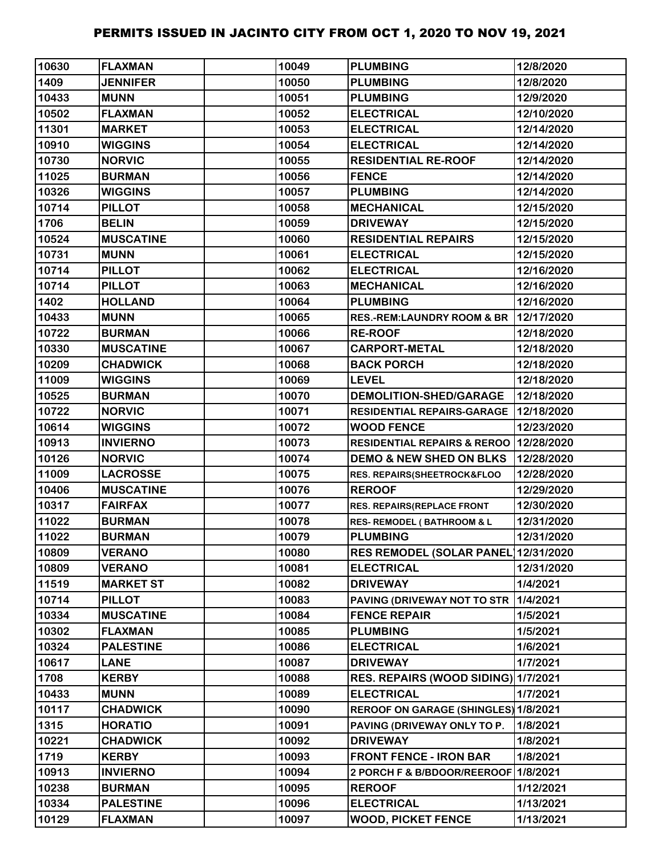| 10630 | <b>FLAXMAN</b>   | 10049 | <b>PLUMBING</b>                        | 12/8/2020  |
|-------|------------------|-------|----------------------------------------|------------|
| 1409  | <b>JENNIFER</b>  | 10050 | <b>PLUMBING</b>                        | 12/8/2020  |
| 10433 | <b>MUNN</b>      | 10051 | <b>PLUMBING</b>                        | 12/9/2020  |
| 10502 | <b>FLAXMAN</b>   | 10052 | <b>ELECTRICAL</b>                      | 12/10/2020 |
| 11301 | <b>MARKET</b>    | 10053 | <b>ELECTRICAL</b>                      | 12/14/2020 |
| 10910 | <b>WIGGINS</b>   | 10054 | <b>ELECTRICAL</b>                      | 12/14/2020 |
| 10730 | <b>NORVIC</b>    | 10055 | <b>RESIDENTIAL RE-ROOF</b>             | 12/14/2020 |
| 11025 | <b>BURMAN</b>    | 10056 | <b>FENCE</b>                           | 12/14/2020 |
| 10326 | <b>WIGGINS</b>   | 10057 | <b>PLUMBING</b>                        | 12/14/2020 |
| 10714 | <b>PILLOT</b>    | 10058 | <b>MECHANICAL</b>                      | 12/15/2020 |
| 1706  | <b>BELIN</b>     | 10059 | <b>DRIVEWAY</b>                        | 12/15/2020 |
| 10524 | <b>MUSCATINE</b> | 10060 | <b>RESIDENTIAL REPAIRS</b>             | 12/15/2020 |
| 10731 | <b>MUNN</b>      | 10061 | <b>ELECTRICAL</b>                      | 12/15/2020 |
| 10714 | <b>PILLOT</b>    | 10062 | <b>ELECTRICAL</b>                      | 12/16/2020 |
| 10714 | <b>PILLOT</b>    | 10063 | <b>MECHANICAL</b>                      | 12/16/2020 |
| 1402  | <b>HOLLAND</b>   | 10064 | <b>PLUMBING</b>                        | 12/16/2020 |
| 10433 | <b>MUNN</b>      | 10065 | <b>RES.-REM:LAUNDRY ROOM &amp; BR</b>  | 12/17/2020 |
| 10722 | <b>BURMAN</b>    | 10066 | <b>RE-ROOF</b>                         | 12/18/2020 |
| 10330 | <b>MUSCATINE</b> | 10067 | <b>CARPORT-METAL</b>                   | 12/18/2020 |
| 10209 | <b>CHADWICK</b>  | 10068 | <b>BACK PORCH</b>                      | 12/18/2020 |
| 11009 | <b>WIGGINS</b>   | 10069 | <b>LEVEL</b>                           | 12/18/2020 |
| 10525 | <b>BURMAN</b>    | 10070 | <b>DEMOLITION-SHED/GARAGE</b>          | 12/18/2020 |
| 10722 | <b>NORVIC</b>    | 10071 | <b>RESIDENTIAL REPAIRS-GARAGE</b>      | 12/18/2020 |
| 10614 | <b>WIGGINS</b>   | 10072 | <b>WOOD FENCE</b>                      | 12/23/2020 |
| 10913 | <b>INVIERNO</b>  | 10073 | RESIDENTIAL REPAIRS & REROO 12/28/2020 |            |
| 10126 | <b>NORVIC</b>    | 10074 | <b>DEMO &amp; NEW SHED ON BLKS</b>     | 12/28/2020 |
| 11009 | <b>LACROSSE</b>  | 10075 | RES. REPAIRS(SHEETROCK&FLOO            | 12/28/2020 |
| 10406 | <b>MUSCATINE</b> | 10076 | <b>REROOF</b>                          | 12/29/2020 |
| 10317 | <b>FAIRFAX</b>   | 10077 | <b>RES. REPAIRS(REPLACE FRONT</b>      | 12/30/2020 |
| 11022 | <b>BURMAN</b>    | 10078 | <b>RES- REMODEL (BATHROOM &amp; L</b>  | 12/31/2020 |
| 11022 | <b>BURMAN</b>    | 10079 | <b>PLUMBING</b>                        | 12/31/2020 |
| 10809 | <b>VERANO</b>    | 10080 | <b>RES REMODEL (SOLAR PANEL)</b>       | 12/31/2020 |
| 10809 | <b>VERANO</b>    | 10081 | <b>ELECTRICAL</b>                      | 12/31/2020 |
| 11519 | <b>MARKET ST</b> | 10082 | <b>DRIVEWAY</b>                        | 1/4/2021   |
| 10714 | <b>PILLOT</b>    | 10083 | PAVING (DRIVEWAY NOT TO STR            | 1/4/2021   |
| 10334 | <b>MUSCATINE</b> | 10084 | <b>FENCE REPAIR</b>                    | 1/5/2021   |
| 10302 | <b>FLAXMAN</b>   | 10085 | <b>PLUMBING</b>                        | 1/5/2021   |
| 10324 | <b>PALESTINE</b> | 10086 | <b>ELECTRICAL</b>                      | 1/6/2021   |
| 10617 | <b>LANE</b>      | 10087 | <b>DRIVEWAY</b>                        | 1/7/2021   |
| 1708  | <b>KERBY</b>     | 10088 | RES. REPAIRS (WOOD SIDING) 1/7/2021    |            |
| 10433 | <b>MUNN</b>      | 10089 | <b>ELECTRICAL</b>                      | 1/7/2021   |
| 10117 | <b>CHADWICK</b>  | 10090 | REROOF ON GARAGE (SHINGLES) 1/8/2021   |            |
| 1315  | <b>HORATIO</b>   | 10091 | PAVING (DRIVEWAY ONLY TO P.            | 1/8/2021   |
| 10221 | <b>CHADWICK</b>  | 10092 | <b>DRIVEWAY</b>                        | 1/8/2021   |
| 1719  | <b>KERBY</b>     | 10093 | <b>FRONT FENCE - IRON BAR</b>          | 1/8/2021   |
| 10913 | <b>INVIERNO</b>  | 10094 | 2 PORCH F & B/BDOOR/REEROOF 1/8/2021   |            |
| 10238 | <b>BURMAN</b>    | 10095 | <b>REROOF</b>                          | 1/12/2021  |
| 10334 | <b>PALESTINE</b> | 10096 | <b>ELECTRICAL</b>                      | 1/13/2021  |
| 10129 | <b>FLAXMAN</b>   | 10097 | <b>WOOD, PICKET FENCE</b>              | 1/13/2021  |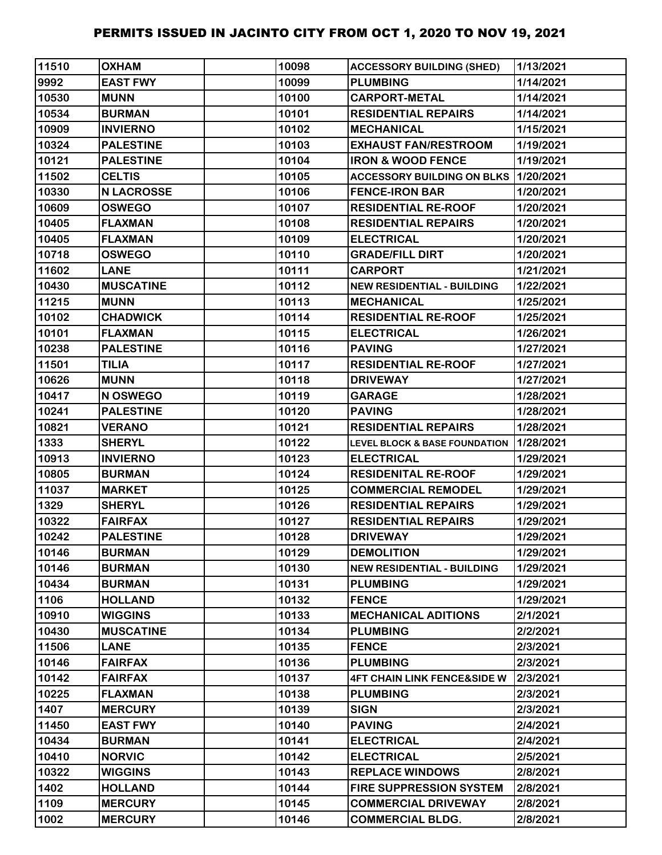| 11510 | <b>OXHAM</b>      | 10098 | <b>ACCESSORY BUILDING (SHED)</b>            | 1/13/2021 |
|-------|-------------------|-------|---------------------------------------------|-----------|
| 9992  | <b>EAST FWY</b>   | 10099 | <b>PLUMBING</b>                             | 1/14/2021 |
| 10530 | <b>MUNN</b>       | 10100 | <b>CARPORT-METAL</b>                        | 1/14/2021 |
| 10534 | <b>BURMAN</b>     | 10101 | <b>RESIDENTIAL REPAIRS</b>                  | 1/14/2021 |
| 10909 | <b>INVIERNO</b>   | 10102 | <b>MECHANICAL</b>                           | 1/15/2021 |
| 10324 | <b>PALESTINE</b>  | 10103 | <b>EXHAUST FAN/RESTROOM</b>                 | 1/19/2021 |
| 10121 | <b>PALESTINE</b>  | 10104 | <b>IRON &amp; WOOD FENCE</b>                | 1/19/2021 |
| 11502 | <b>CELTIS</b>     | 10105 | <b>ACCESSORY BUILDING ON BLKS 1/20/2021</b> |           |
| 10330 | <b>N LACROSSE</b> | 10106 | <b>FENCE-IRON BAR</b>                       | 1/20/2021 |
| 10609 | <b>OSWEGO</b>     | 10107 | <b>RESIDENTIAL RE-ROOF</b>                  | 1/20/2021 |
| 10405 | <b>FLAXMAN</b>    | 10108 | <b>RESIDENTIAL REPAIRS</b>                  | 1/20/2021 |
| 10405 | <b>FLAXMAN</b>    | 10109 | <b>ELECTRICAL</b>                           | 1/20/2021 |
| 10718 | <b>OSWEGO</b>     | 10110 | <b>GRADE/FILL DIRT</b>                      | 1/20/2021 |
| 11602 | <b>LANE</b>       | 10111 | <b>CARPORT</b>                              | 1/21/2021 |
| 10430 | <b>MUSCATINE</b>  | 10112 | <b>NEW RESIDENTIAL - BUILDING</b>           | 1/22/2021 |
| 11215 | <b>MUNN</b>       | 10113 | <b>MECHANICAL</b>                           | 1/25/2021 |
| 10102 | <b>CHADWICK</b>   | 10114 | <b>RESIDENTIAL RE-ROOF</b>                  | 1/25/2021 |
| 10101 | <b>FLAXMAN</b>    | 10115 | <b>ELECTRICAL</b>                           | 1/26/2021 |
| 10238 | <b>PALESTINE</b>  | 10116 | <b>PAVING</b>                               | 1/27/2021 |
| 11501 | <b>TILIA</b>      | 10117 | <b>RESIDENTIAL RE-ROOF</b>                  | 1/27/2021 |
| 10626 | <b>MUNN</b>       | 10118 | <b>DRIVEWAY</b>                             | 1/27/2021 |
| 10417 | N OSWEGO          | 10119 | <b>GARAGE</b>                               | 1/28/2021 |
| 10241 | <b>PALESTINE</b>  | 10120 | <b>PAVING</b>                               | 1/28/2021 |
| 10821 | <b>VERANO</b>     | 10121 | <b>RESIDENTIAL REPAIRS</b>                  | 1/28/2021 |
| 1333  | <b>SHERYL</b>     | 10122 | <b>LEVEL BLOCK &amp; BASE FOUNDATION</b>    | 1/28/2021 |
| 10913 | <b>INVIERNO</b>   | 10123 | <b>ELECTRICAL</b>                           | 1/29/2021 |
| 10805 | <b>BURMAN</b>     | 10124 | <b>RESIDENITAL RE-ROOF</b>                  | 1/29/2021 |
| 11037 | <b>MARKET</b>     | 10125 | <b>COMMERCIAL REMODEL</b>                   | 1/29/2021 |
| 1329  | <b>SHERYL</b>     | 10126 | <b>RESIDENTIAL REPAIRS</b>                  | 1/29/2021 |
| 10322 | <b>FAIRFAX</b>    | 10127 | <b>RESIDENTIAL REPAIRS</b>                  | 1/29/2021 |
| 10242 | <b>PALESTINE</b>  | 10128 | <b>DRIVEWAY</b>                             | 1/29/2021 |
| 10146 | <b>BURMAN</b>     | 10129 | <b>DEMOLITION</b>                           | 1/29/2021 |
| 10146 | <b>BURMAN</b>     | 10130 | <b>NEW RESIDENTIAL - BUILDING</b>           | 1/29/2021 |
| 10434 | <b>BURMAN</b>     | 10131 | <b>PLUMBING</b>                             | 1/29/2021 |
| 1106  | <b>HOLLAND</b>    | 10132 | <b>FENCE</b>                                | 1/29/2021 |
| 10910 | <b>WIGGINS</b>    | 10133 | <b>MECHANICAL ADITIONS</b>                  | 2/1/2021  |
| 10430 | <b>MUSCATINE</b>  | 10134 | <b>PLUMBING</b>                             | 2/2/2021  |
| 11506 | <b>LANE</b>       | 10135 | <b>FENCE</b>                                | 2/3/2021  |
| 10146 | <b>FAIRFAX</b>    | 10136 | <b>PLUMBING</b>                             | 2/3/2021  |
| 10142 | <b>FAIRFAX</b>    | 10137 | <b>4FT CHAIN LINK FENCE&amp;SIDE W</b>      | 2/3/2021  |
| 10225 | <b>FLAXMAN</b>    | 10138 | <b>PLUMBING</b>                             | 2/3/2021  |
| 1407  | <b>MERCURY</b>    | 10139 | <b>SIGN</b>                                 | 2/3/2021  |
| 11450 | <b>EAST FWY</b>   | 10140 | <b>PAVING</b>                               | 2/4/2021  |
| 10434 | <b>BURMAN</b>     | 10141 | <b>ELECTRICAL</b>                           | 2/4/2021  |
| 10410 | <b>NORVIC</b>     | 10142 | <b>ELECTRICAL</b>                           | 2/5/2021  |
| 10322 | <b>WIGGINS</b>    | 10143 | <b>REPLACE WINDOWS</b>                      | 2/8/2021  |
| 1402  | <b>HOLLAND</b>    | 10144 | <b>FIRE SUPPRESSION SYSTEM</b>              | 2/8/2021  |
| 1109  | <b>MERCURY</b>    | 10145 | <b>COMMERCIAL DRIVEWAY</b>                  | 2/8/2021  |
| 1002  | <b>MERCURY</b>    | 10146 | <b>COMMERCIAL BLDG.</b>                     | 2/8/2021  |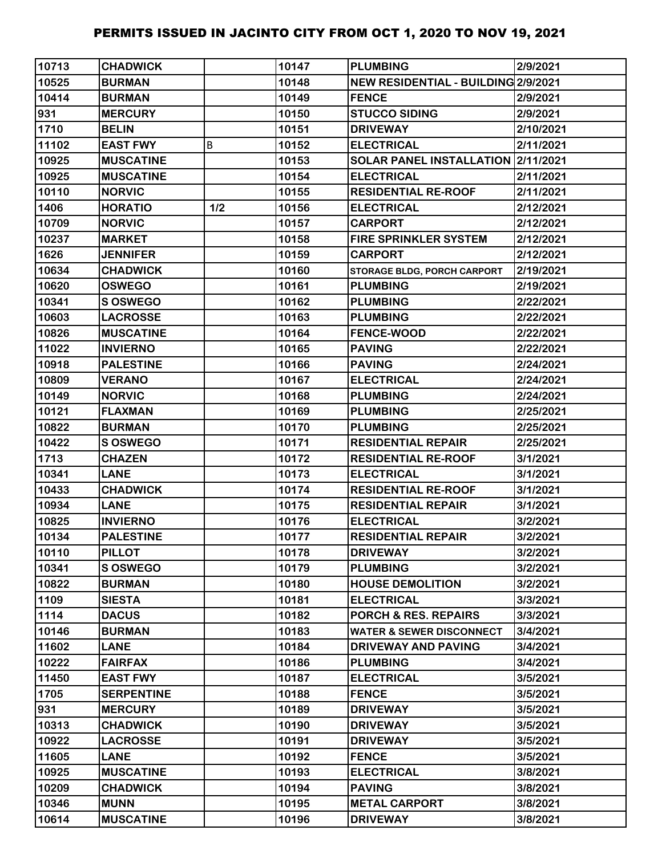| 10713 | <b>CHADWICK</b>   |     | 10147 | <b>PLUMBING</b>                     | 2/9/2021  |
|-------|-------------------|-----|-------|-------------------------------------|-----------|
| 10525 | <b>BURMAN</b>     |     | 10148 | NEW RESIDENTIAL - BUILDING 2/9/2021 |           |
| 10414 | <b>BURMAN</b>     |     | 10149 | <b>FENCE</b>                        | 2/9/2021  |
| 931   | <b>MERCURY</b>    |     | 10150 | <b>STUCCO SIDING</b>                | 2/9/2021  |
| 1710  | <b>BELIN</b>      |     | 10151 | <b>DRIVEWAY</b>                     | 2/10/2021 |
| 11102 | <b>EAST FWY</b>   | B   | 10152 | <b>ELECTRICAL</b>                   | 2/11/2021 |
| 10925 | <b>MUSCATINE</b>  |     | 10153 | SOLAR PANEL INSTALLATION 2/11/2021  |           |
| 10925 | <b>MUSCATINE</b>  |     | 10154 | <b>ELECTRICAL</b>                   | 2/11/2021 |
| 10110 | <b>NORVIC</b>     |     | 10155 | <b>RESIDENTIAL RE-ROOF</b>          | 2/11/2021 |
| 1406  | <b>HORATIO</b>    | 1/2 | 10156 | <b>ELECTRICAL</b>                   | 2/12/2021 |
| 10709 | <b>NORVIC</b>     |     | 10157 | <b>CARPORT</b>                      | 2/12/2021 |
| 10237 | <b>MARKET</b>     |     | 10158 | <b>FIRE SPRINKLER SYSTEM</b>        | 2/12/2021 |
| 1626  | <b>JENNIFER</b>   |     | 10159 | <b>CARPORT</b>                      | 2/12/2021 |
| 10634 | <b>CHADWICK</b>   |     | 10160 | <b>STORAGE BLDG, PORCH CARPORT</b>  | 2/19/2021 |
| 10620 | <b>OSWEGO</b>     |     | 10161 | <b>PLUMBING</b>                     | 2/19/2021 |
| 10341 | S OSWEGO          |     | 10162 | <b>PLUMBING</b>                     | 2/22/2021 |
| 10603 | <b>LACROSSE</b>   |     | 10163 | <b>PLUMBING</b>                     | 2/22/2021 |
| 10826 | <b>MUSCATINE</b>  |     | 10164 | <b>FENCE-WOOD</b>                   | 2/22/2021 |
| 11022 | <b>INVIERNO</b>   |     | 10165 | <b>PAVING</b>                       | 2/22/2021 |
| 10918 | <b>PALESTINE</b>  |     | 10166 | <b>PAVING</b>                       | 2/24/2021 |
| 10809 | <b>VERANO</b>     |     | 10167 | <b>ELECTRICAL</b>                   | 2/24/2021 |
| 10149 | <b>NORVIC</b>     |     | 10168 | <b>PLUMBING</b>                     | 2/24/2021 |
| 10121 | <b>FLAXMAN</b>    |     | 10169 | <b>PLUMBING</b>                     | 2/25/2021 |
| 10822 | <b>BURMAN</b>     |     | 10170 | <b>PLUMBING</b>                     | 2/25/2021 |
| 10422 | <b>S OSWEGO</b>   |     | 10171 | <b>RESIDENTIAL REPAIR</b>           | 2/25/2021 |
| 1713  | <b>CHAZEN</b>     |     | 10172 | <b>RESIDENTIAL RE-ROOF</b>          | 3/1/2021  |
| 10341 | <b>LANE</b>       |     | 10173 | <b>ELECTRICAL</b>                   | 3/1/2021  |
| 10433 | <b>CHADWICK</b>   |     | 10174 | <b>RESIDENTIAL RE-ROOF</b>          | 3/1/2021  |
| 10934 | <b>LANE</b>       |     | 10175 | <b>RESIDENTIAL REPAIR</b>           | 3/1/2021  |
| 10825 | <b>INVIERNO</b>   |     | 10176 | <b>ELECTRICAL</b>                   | 3/2/2021  |
| 10134 | <b>PALESTINE</b>  |     | 10177 | <b>RESIDENTIAL REPAIR</b>           | 3/2/2021  |
| 10110 | <b>PILLOT</b>     |     | 10178 | <b>DRIVEWAY</b>                     | 3/2/2021  |
| 10341 | <b>SOSWEGO</b>    |     | 10179 | <b>PLUMBING</b>                     | 3/2/2021  |
| 10822 | <b>BURMAN</b>     |     | 10180 | <b>HOUSE DEMOLITION</b>             | 3/2/2021  |
| 1109  | <b>SIESTA</b>     |     | 10181 | <b>ELECTRICAL</b>                   | 3/3/2021  |
| 1114  | <b>DACUS</b>      |     | 10182 | <b>PORCH &amp; RES. REPAIRS</b>     | 3/3/2021  |
| 10146 | <b>BURMAN</b>     |     | 10183 | <b>WATER &amp; SEWER DISCONNECT</b> | 3/4/2021  |
| 11602 | <b>LANE</b>       |     | 10184 | <b>DRIVEWAY AND PAVING</b>          | 3/4/2021  |
| 10222 | <b>FAIRFAX</b>    |     | 10186 | <b>PLUMBING</b>                     | 3/4/2021  |
| 11450 | <b>EAST FWY</b>   |     | 10187 | <b>ELECTRICAL</b>                   | 3/5/2021  |
| 1705  | <b>SERPENTINE</b> |     | 10188 | <b>FENCE</b>                        | 3/5/2021  |
| 931   | <b>MERCURY</b>    |     | 10189 | <b>DRIVEWAY</b>                     | 3/5/2021  |
| 10313 | <b>CHADWICK</b>   |     | 10190 | <b>DRIVEWAY</b>                     | 3/5/2021  |
| 10922 | <b>LACROSSE</b>   |     | 10191 | <b>DRIVEWAY</b>                     | 3/5/2021  |
| 11605 | <b>LANE</b>       |     | 10192 | <b>FENCE</b>                        | 3/5/2021  |
| 10925 | <b>MUSCATINE</b>  |     | 10193 | <b>ELECTRICAL</b>                   | 3/8/2021  |
| 10209 | <b>CHADWICK</b>   |     | 10194 | <b>PAVING</b>                       | 3/8/2021  |
| 10346 | <b>MUNN</b>       |     | 10195 | <b>METAL CARPORT</b>                | 3/8/2021  |
| 10614 | <b>MUSCATINE</b>  |     | 10196 | <b>DRIVEWAY</b>                     | 3/8/2021  |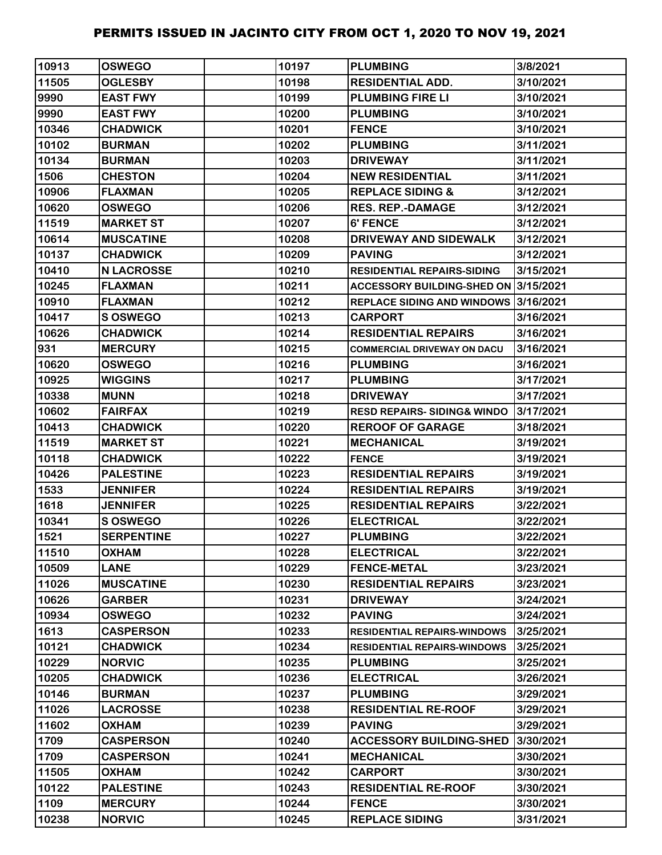| 10913 | <b>OSWEGO</b>     | 10197 | <b>PLUMBING</b>                        | 3/8/2021  |
|-------|-------------------|-------|----------------------------------------|-----------|
| 11505 | <b>OGLESBY</b>    | 10198 | <b>RESIDENTIAL ADD.</b>                | 3/10/2021 |
| 9990  | <b>EAST FWY</b>   | 10199 | <b>PLUMBING FIRE LI</b>                | 3/10/2021 |
| 9990  | <b>EAST FWY</b>   | 10200 | <b>PLUMBING</b>                        | 3/10/2021 |
| 10346 | <b>CHADWICK</b>   | 10201 | <b>FENCE</b>                           | 3/10/2021 |
| 10102 | <b>BURMAN</b>     | 10202 | <b>PLUMBING</b>                        | 3/11/2021 |
| 10134 | <b>BURMAN</b>     | 10203 | <b>DRIVEWAY</b>                        | 3/11/2021 |
| 1506  | <b>CHESTON</b>    | 10204 | <b>NEW RESIDENTIAL</b>                 | 3/11/2021 |
| 10906 | <b>FLAXMAN</b>    | 10205 | <b>REPLACE SIDING &amp;</b>            | 3/12/2021 |
| 10620 | <b>OSWEGO</b>     | 10206 | <b>RES. REP.-DAMAGE</b>                | 3/12/2021 |
| 11519 | <b>MARKET ST</b>  | 10207 | 6' FENCE                               | 3/12/2021 |
| 10614 | <b>MUSCATINE</b>  | 10208 | <b>DRIVEWAY AND SIDEWALK</b>           | 3/12/2021 |
| 10137 | <b>CHADWICK</b>   | 10209 | <b>PAVING</b>                          | 3/12/2021 |
| 10410 | <b>N LACROSSE</b> | 10210 | <b>RESIDENTIAL REPAIRS-SIDING</b>      | 3/15/2021 |
| 10245 | <b>FLAXMAN</b>    | 10211 | ACCESSORY BUILDING-SHED ON 3/15/2021   |           |
| 10910 | <b>FLAXMAN</b>    | 10212 | REPLACE SIDING AND WINDOWS 3/16/2021   |           |
| 10417 | S OSWEGO          | 10213 | CARPORT                                | 3/16/2021 |
| 10626 | <b>CHADWICK</b>   | 10214 | <b>RESIDENTIAL REPAIRS</b>             | 3/16/2021 |
| 931   | <b>MERCURY</b>    | 10215 | <b>COMMERCIAL DRIVEWAY ON DACU</b>     | 3/16/2021 |
| 10620 | <b>OSWEGO</b>     | 10216 | <b>PLUMBING</b>                        | 3/16/2021 |
| 10925 | <b>WIGGINS</b>    | 10217 | <b>PLUMBING</b>                        | 3/17/2021 |
| 10338 | <b>MUNN</b>       | 10218 | <b>DRIVEWAY</b>                        | 3/17/2021 |
| 10602 | <b>FAIRFAX</b>    | 10219 | <b>RESD REPAIRS- SIDING&amp; WINDO</b> | 3/17/2021 |
| 10413 | <b>CHADWICK</b>   | 10220 | <b>REROOF OF GARAGE</b>                | 3/18/2021 |
| 11519 | <b>MARKET ST</b>  | 10221 | <b>MECHANICAL</b>                      | 3/19/2021 |
| 10118 | <b>CHADWICK</b>   | 10222 | <b>FENCE</b>                           | 3/19/2021 |
| 10426 | <b>PALESTINE</b>  | 10223 | <b>RESIDENTIAL REPAIRS</b>             | 3/19/2021 |
| 1533  | <b>JENNIFER</b>   | 10224 | <b>RESIDENTIAL REPAIRS</b>             | 3/19/2021 |
| 1618  | <b>JENNIFER</b>   | 10225 | <b>RESIDENTIAL REPAIRS</b>             | 3/22/2021 |
| 10341 | <b>S OSWEGO</b>   | 10226 | <b>ELECTRICAL</b>                      | 3/22/2021 |
| 1521  | <b>SERPENTINE</b> | 10227 | <b>PLUMBING</b>                        | 3/22/2021 |
| 11510 | <b>OXHAM</b>      | 10228 | <b>ELECTRICAL</b>                      | 3/22/2021 |
| 10509 | <b>LANE</b>       | 10229 | <b>FENCE-METAL</b>                     | 3/23/2021 |
| 11026 | <b>MUSCATINE</b>  | 10230 | <b>RESIDENTIAL REPAIRS</b>             | 3/23/2021 |
| 10626 | <b>GARBER</b>     | 10231 | <b>DRIVEWAY</b>                        | 3/24/2021 |
| 10934 | <b>OSWEGO</b>     | 10232 | <b>PAVING</b>                          | 3/24/2021 |
| 1613  | <b>CASPERSON</b>  | 10233 | <b>RESIDENTIAL REPAIRS-WINDOWS</b>     | 3/25/2021 |
| 10121 | <b>CHADWICK</b>   | 10234 | <b>RESIDENTIAL REPAIRS-WINDOWS</b>     | 3/25/2021 |
| 10229 | <b>NORVIC</b>     | 10235 | <b>PLUMBING</b>                        | 3/25/2021 |
| 10205 | <b>CHADWICK</b>   | 10236 | <b>ELECTRICAL</b>                      | 3/26/2021 |
| 10146 | <b>BURMAN</b>     | 10237 | <b>PLUMBING</b>                        | 3/29/2021 |
| 11026 | <b>LACROSSE</b>   | 10238 | <b>RESIDENTIAL RE-ROOF</b>             | 3/29/2021 |
| 11602 | <b>NAHXO</b>      | 10239 | <b>PAVING</b>                          | 3/29/2021 |
| 1709  | <b>CASPERSON</b>  | 10240 | <b>ACCESSORY BUILDING-SHED</b>         | 3/30/2021 |
| 1709  | <b>CASPERSON</b>  | 10241 | <b>MECHANICAL</b>                      | 3/30/2021 |
| 11505 | <b>NAHXO</b>      | 10242 | <b>CARPORT</b>                         | 3/30/2021 |
| 10122 | <b>PALESTINE</b>  | 10243 | <b>RESIDENTIAL RE-ROOF</b>             | 3/30/2021 |
| 1109  | <b>MERCURY</b>    | 10244 | <b>FENCE</b>                           | 3/30/2021 |
| 10238 | <b>NORVIC</b>     | 10245 | <b>REPLACE SIDING</b>                  | 3/31/2021 |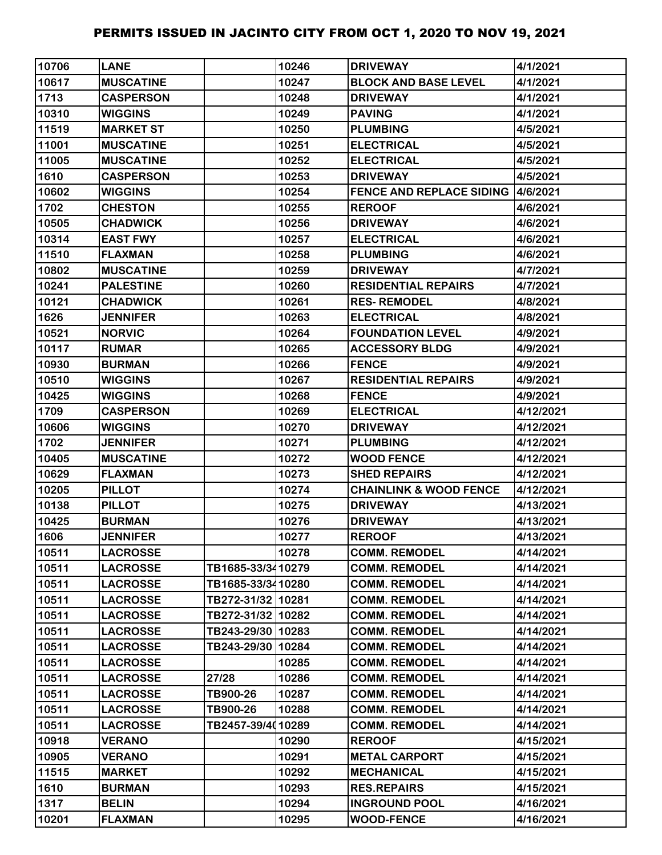| 10706 | <b>LANE</b>      |                   | 10246 | <b>DRIVEWAY</b>                           | 4/1/2021  |
|-------|------------------|-------------------|-------|-------------------------------------------|-----------|
| 10617 | <b>MUSCATINE</b> |                   | 10247 | <b>BLOCK AND BASE LEVEL</b>               | 4/1/2021  |
| 1713  | <b>CASPERSON</b> |                   | 10248 | <b>DRIVEWAY</b>                           | 4/1/2021  |
| 10310 | <b>WIGGINS</b>   |                   | 10249 | <b>PAVING</b>                             | 4/1/2021  |
| 11519 | <b>MARKET ST</b> |                   | 10250 | <b>PLUMBING</b>                           | 4/5/2021  |
| 11001 | <b>MUSCATINE</b> |                   | 10251 | <b>ELECTRICAL</b>                         | 4/5/2021  |
| 11005 | <b>MUSCATINE</b> |                   | 10252 | <b>ELECTRICAL</b>                         | 4/5/2021  |
| 1610  | <b>CASPERSON</b> |                   | 10253 | <b>DRIVEWAY</b>                           | 4/5/2021  |
| 10602 | <b>WIGGINS</b>   |                   | 10254 | <b>FENCE AND REPLACE SIDING 14/6/2021</b> |           |
| 1702  | <b>CHESTON</b>   |                   | 10255 | <b>REROOF</b>                             | 4/6/2021  |
| 10505 | <b>CHADWICK</b>  |                   | 10256 | <b>DRIVEWAY</b>                           | 4/6/2021  |
| 10314 | <b>EAST FWY</b>  |                   | 10257 | <b>ELECTRICAL</b>                         | 4/6/2021  |
| 11510 | <b>FLAXMAN</b>   |                   | 10258 | <b>PLUMBING</b>                           | 4/6/2021  |
| 10802 | <b>MUSCATINE</b> |                   | 10259 | <b>DRIVEWAY</b>                           | 4/7/2021  |
| 10241 | <b>PALESTINE</b> |                   | 10260 | <b>RESIDENTIAL REPAIRS</b>                | 4/7/2021  |
| 10121 | <b>CHADWICK</b>  |                   | 10261 | <b>RES-REMODEL</b>                        | 4/8/2021  |
| 1626  | <b>JENNIFER</b>  |                   | 10263 | <b>ELECTRICAL</b>                         | 4/8/2021  |
| 10521 | <b>NORVIC</b>    |                   | 10264 | <b>FOUNDATION LEVEL</b>                   | 4/9/2021  |
| 10117 | <b>RUMAR</b>     |                   | 10265 | <b>ACCESSORY BLDG</b>                     | 4/9/2021  |
| 10930 | <b>BURMAN</b>    |                   | 10266 | <b>FENCE</b>                              | 4/9/2021  |
| 10510 | <b>WIGGINS</b>   |                   | 10267 | <b>RESIDENTIAL REPAIRS</b>                | 4/9/2021  |
| 10425 | <b>WIGGINS</b>   |                   | 10268 | <b>FENCE</b>                              | 4/9/2021  |
| 1709  | <b>CASPERSON</b> |                   | 10269 | <b>ELECTRICAL</b>                         | 4/12/2021 |
| 10606 | <b>WIGGINS</b>   |                   | 10270 | <b>DRIVEWAY</b>                           | 4/12/2021 |
| 1702  | <b>JENNIFER</b>  |                   | 10271 | <b>PLUMBING</b>                           | 4/12/2021 |
| 10405 | <b>MUSCATINE</b> |                   | 10272 | <b>WOOD FENCE</b>                         | 4/12/2021 |
| 10629 | <b>FLAXMAN</b>   |                   | 10273 | <b>SHED REPAIRS</b>                       | 4/12/2021 |
| 10205 | <b>PILLOT</b>    |                   | 10274 | <b>CHAINLINK &amp; WOOD FENCE</b>         | 4/12/2021 |
| 10138 | <b>PILLOT</b>    |                   | 10275 | <b>DRIVEWAY</b>                           | 4/13/2021 |
| 10425 | <b>BURMAN</b>    |                   | 10276 | <b>DRIVEWAY</b>                           | 4/13/2021 |
| 1606  | <b>JENNIFER</b>  |                   | 10277 | <b>REROOF</b>                             | 4/13/2021 |
| 10511 | <b>LACROSSE</b>  |                   | 10278 | <b>COMM. REMODEL</b>                      | 4/14/2021 |
| 10511 | <b>LACROSSE</b>  | TB1685-33/3410279 |       | <b>COMM. REMODEL</b>                      | 4/14/2021 |
| 10511 | <b>LACROSSE</b>  | TB1685-33/3410280 |       | <b>COMM. REMODEL</b>                      | 4/14/2021 |
| 10511 | <b>LACROSSE</b>  | TB272-31/32 10281 |       | <b>COMM. REMODEL</b>                      | 4/14/2021 |
| 10511 | <b>LACROSSE</b>  | TB272-31/32 10282 |       | <b>COMM. REMODEL</b>                      | 4/14/2021 |
| 10511 | <b>LACROSSE</b>  | TB243-29/30 10283 |       | <b>COMM. REMODEL</b>                      | 4/14/2021 |
| 10511 | <b>LACROSSE</b>  | TB243-29/30 10284 |       | <b>COMM. REMODEL</b>                      | 4/14/2021 |
| 10511 | <b>LACROSSE</b>  |                   | 10285 | <b>COMM. REMODEL</b>                      | 4/14/2021 |
| 10511 | <b>LACROSSE</b>  | 27/28             | 10286 | <b>COMM. REMODEL</b>                      | 4/14/2021 |
| 10511 | <b>LACROSSE</b>  | TB900-26          | 10287 | <b>COMM. REMODEL</b>                      | 4/14/2021 |
| 10511 | <b>LACROSSE</b>  | TB900-26          | 10288 | <b>COMM. REMODEL</b>                      | 4/14/2021 |
| 10511 | <b>LACROSSE</b>  | TB2457-39/4010289 |       | <b>COMM. REMODEL</b>                      | 4/14/2021 |
| 10918 | <b>VERANO</b>    |                   | 10290 | <b>REROOF</b>                             | 4/15/2021 |
| 10905 | <b>VERANO</b>    |                   | 10291 | <b>METAL CARPORT</b>                      | 4/15/2021 |
| 11515 | <b>MARKET</b>    |                   | 10292 | <b>MECHANICAL</b>                         | 4/15/2021 |
| 1610  | <b>BURMAN</b>    |                   | 10293 | <b>RES.REPAIRS</b>                        | 4/15/2021 |
| 1317  | <b>BELIN</b>     |                   | 10294 | <b>INGROUND POOL</b>                      | 4/16/2021 |
| 10201 | <b>FLAXMAN</b>   |                   | 10295 | <b>WOOD-FENCE</b>                         | 4/16/2021 |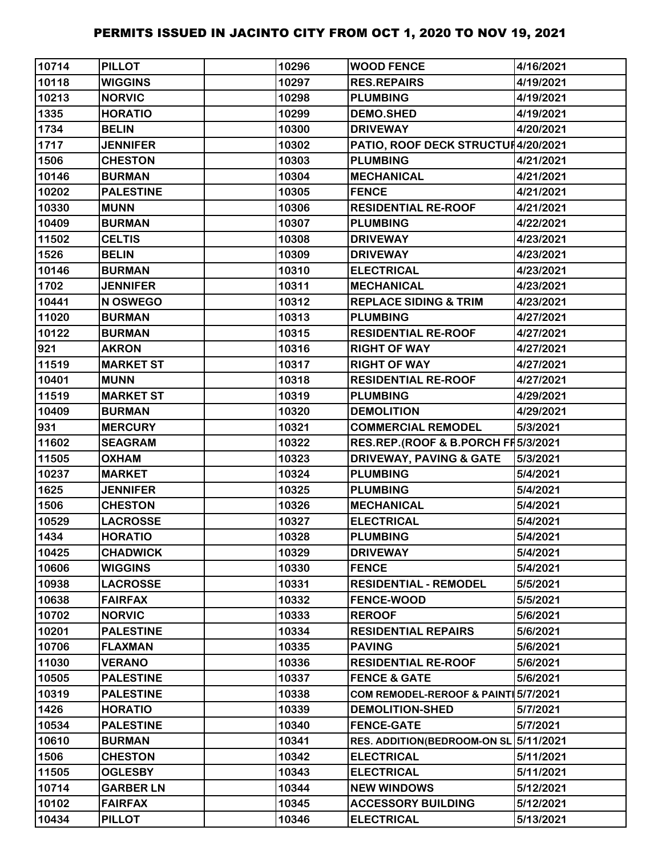| 10714 | <b>PILLOT</b>    | 10296 | <b>WOOD FENCE</b>                   | 4/16/2021 |
|-------|------------------|-------|-------------------------------------|-----------|
| 10118 | <b>WIGGINS</b>   | 10297 | <b>RES.REPAIRS</b>                  | 4/19/2021 |
| 10213 | <b>NORVIC</b>    | 10298 | <b>PLUMBING</b>                     | 4/19/2021 |
| 1335  | <b>HORATIO</b>   | 10299 | <b>DEMO.SHED</b>                    | 4/19/2021 |
| 1734  | <b>BELIN</b>     | 10300 | <b>DRIVEWAY</b>                     | 4/20/2021 |
| 1717  | <b>JENNIFER</b>  | 10302 | PATIO, ROOF DECK STRUCTUH4/20/2021  |           |
| 1506  | <b>CHESTON</b>   | 10303 | <b>PLUMBING</b>                     | 4/21/2021 |
| 10146 | <b>BURMAN</b>    | 10304 | <b>MECHANICAL</b>                   | 4/21/2021 |
| 10202 | <b>PALESTINE</b> | 10305 | <b>FENCE</b>                        | 4/21/2021 |
| 10330 | <b>MUNN</b>      | 10306 | <b>RESIDENTIAL RE-ROOF</b>          | 4/21/2021 |
| 10409 | <b>BURMAN</b>    | 10307 | <b>PLUMBING</b>                     | 4/22/2021 |
| 11502 | <b>CELTIS</b>    | 10308 | <b>DRIVEWAY</b>                     | 4/23/2021 |
| 1526  | <b>BELIN</b>     | 10309 | <b>DRIVEWAY</b>                     | 4/23/2021 |
| 10146 | <b>BURMAN</b>    | 10310 | <b>ELECTRICAL</b>                   | 4/23/2021 |
| 1702  | <b>JENNIFER</b>  | 10311 | <b>MECHANICAL</b>                   | 4/23/2021 |
| 10441 | N OSWEGO         | 10312 | <b>REPLACE SIDING &amp; TRIM</b>    | 4/23/2021 |
| 11020 | <b>BURMAN</b>    | 10313 | <b>PLUMBING</b>                     | 4/27/2021 |
| 10122 | <b>BURMAN</b>    | 10315 | <b>RESIDENTIAL RE-ROOF</b>          | 4/27/2021 |
| 921   | <b>AKRON</b>     | 10316 | <b>RIGHT OF WAY</b>                 | 4/27/2021 |
| 11519 | <b>MARKET ST</b> | 10317 | <b>RIGHT OF WAY</b>                 | 4/27/2021 |
| 10401 | <b>MUNN</b>      | 10318 | <b>RESIDENTIAL RE-ROOF</b>          | 4/27/2021 |
| 11519 | <b>MARKET ST</b> | 10319 | <b>PLUMBING</b>                     | 4/29/2021 |
| 10409 | <b>BURMAN</b>    | 10320 | <b>DEMOLITION</b>                   | 4/29/2021 |
| 931   | <b>MERCURY</b>   | 10321 | <b>COMMERCIAL REMODEL</b>           | 5/3/2021  |
| 11602 | <b>SEAGRAM</b>   | 10322 | RES.REP.(ROOF & B.PORCH FI5/3/2021  |           |
| 11505 | <b>OXHAM</b>     | 10323 | <b>DRIVEWAY, PAVING &amp; GATE</b>  | 5/3/2021  |
| 10237 | <b>MARKET</b>    | 10324 | <b>PLUMBING</b>                     | 5/4/2021  |
| 1625  | <b>JENNIFER</b>  | 10325 | <b>PLUMBING</b>                     | 5/4/2021  |
| 1506  | <b>CHESTON</b>   | 10326 | <b>MECHANICAL</b>                   | 5/4/2021  |
| 10529 | <b>LACROSSE</b>  | 10327 | <b>ELECTRICAL</b>                   | 5/4/2021  |
| 1434  | <b>HORATIO</b>   | 10328 | <b>PLUMBING</b>                     | 5/4/2021  |
| 10425 | <b>CHADWICK</b>  | 10329 | <b>DRIVEWAY</b>                     | 5/4/2021  |
| 10606 | <b>WIGGINS</b>   | 10330 | <b>FENCE</b>                        | 5/4/2021  |
| 10938 | <b>LACROSSE</b>  | 10331 | <b>RESIDENTIAL - REMODEL</b>        | 5/5/2021  |
| 10638 | <b>FAIRFAX</b>   | 10332 | <b>FENCE-WOOD</b>                   | 5/5/2021  |
| 10702 | <b>NORVIC</b>    | 10333 | <b>REROOF</b>                       | 5/6/2021  |
| 10201 | <b>PALESTINE</b> | 10334 | <b>RESIDENTIAL REPAIRS</b>          | 5/6/2021  |
| 10706 | <b>FLAXMAN</b>   | 10335 | <b>PAVING</b>                       | 5/6/2021  |
| 11030 | <b>VERANO</b>    | 10336 | <b>RESIDENTIAL RE-ROOF</b>          | 5/6/2021  |
| 10505 | <b>PALESTINE</b> | 10337 | <b>FENCE &amp; GATE</b>             | 5/6/2021  |
| 10319 | <b>PALESTINE</b> | 10338 | COM REMODEL-REROOF & PAINT 5/7/2021 |           |
| 1426  | <b>HORATIO</b>   | 10339 | <b>DEMOLITION-SHED</b>              | 5/7/2021  |
| 10534 | <b>PALESTINE</b> | 10340 | <b>FENCE-GATE</b>                   | 5/7/2021  |
| 10610 | <b>BURMAN</b>    | 10341 | <b>RES. ADDITION(BEDROOM-ON SL</b>  | 5/11/2021 |
| 1506  | <b>CHESTON</b>   | 10342 | <b>ELECTRICAL</b>                   | 5/11/2021 |
| 11505 | <b>OGLESBY</b>   | 10343 | <b>ELECTRICAL</b>                   | 5/11/2021 |
| 10714 | <b>GARBER LN</b> | 10344 | <b>NEW WINDOWS</b>                  | 5/12/2021 |
| 10102 | <b>FAIRFAX</b>   | 10345 | <b>ACCESSORY BUILDING</b>           | 5/12/2021 |
| 10434 | <b>PILLOT</b>    | 10346 | <b>ELECTRICAL</b>                   | 5/13/2021 |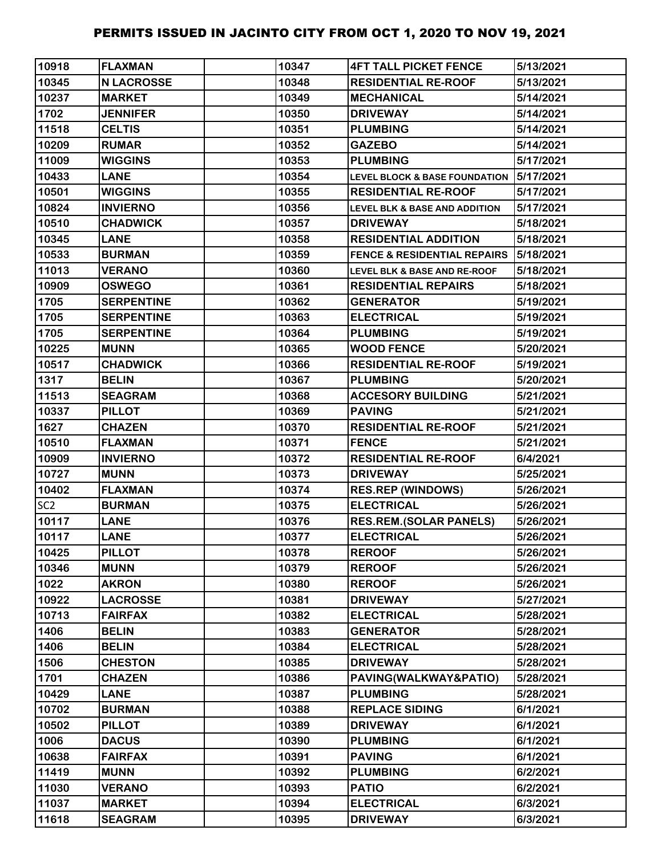| 10918           | <b>FLAXMAN</b>    | 10347 | <b>4FT TALL PICKET FENCE</b>             | 5/13/2021 |
|-----------------|-------------------|-------|------------------------------------------|-----------|
| 10345           | <b>N LACROSSE</b> | 10348 | <b>RESIDENTIAL RE-ROOF</b>               | 5/13/2021 |
| 10237           | <b>MARKET</b>     | 10349 | <b>MECHANICAL</b>                        | 5/14/2021 |
| 1702            | <b>JENNIFER</b>   | 10350 | <b>DRIVEWAY</b>                          | 5/14/2021 |
| 11518           | <b>CELTIS</b>     | 10351 | <b>PLUMBING</b>                          | 5/14/2021 |
| 10209           | <b>RUMAR</b>      | 10352 | <b>GAZEBO</b>                            | 5/14/2021 |
| 11009           | <b>WIGGINS</b>    | 10353 | <b>PLUMBING</b>                          | 5/17/2021 |
| 10433           | <b>LANE</b>       | 10354 | <b>LEVEL BLOCK &amp; BASE FOUNDATION</b> | 5/17/2021 |
| 10501           | <b>WIGGINS</b>    | 10355 | <b>RESIDENTIAL RE-ROOF</b>               | 5/17/2021 |
| 10824           | <b>INVIERNO</b>   | 10356 | <b>LEVEL BLK &amp; BASE AND ADDITION</b> | 5/17/2021 |
| 10510           | <b>CHADWICK</b>   | 10357 | <b>DRIVEWAY</b>                          | 5/18/2021 |
| 10345           | <b>LANE</b>       | 10358 | <b>RESIDENTIAL ADDITION</b>              | 5/18/2021 |
| 10533           | <b>BURMAN</b>     | 10359 | <b>FENCE &amp; RESIDENTIAL REPAIRS</b>   | 5/18/2021 |
| 11013           | <b>VERANO</b>     | 10360 | <b>LEVEL BLK &amp; BASE AND RE-ROOF</b>  | 5/18/2021 |
| 10909           | <b>OSWEGO</b>     | 10361 | <b>RESIDENTIAL REPAIRS</b>               | 5/18/2021 |
| 1705            | <b>SERPENTINE</b> | 10362 | <b>GENERATOR</b>                         | 5/19/2021 |
| 1705            | <b>SERPENTINE</b> | 10363 | <b>ELECTRICAL</b>                        | 5/19/2021 |
| 1705            | <b>SERPENTINE</b> | 10364 | <b>PLUMBING</b>                          | 5/19/2021 |
| 10225           | <b>MUNN</b>       | 10365 | <b>WOOD FENCE</b>                        | 5/20/2021 |
| 10517           | <b>CHADWICK</b>   | 10366 | <b>RESIDENTIAL RE-ROOF</b>               | 5/19/2021 |
| 1317            | <b>BELIN</b>      | 10367 | <b>PLUMBING</b>                          | 5/20/2021 |
| 11513           | <b>SEAGRAM</b>    | 10368 | <b>ACCESORY BUILDING</b>                 | 5/21/2021 |
| 10337           | <b>PILLOT</b>     | 10369 | <b>PAVING</b>                            | 5/21/2021 |
| 1627            | <b>CHAZEN</b>     | 10370 | <b>RESIDENTIAL RE-ROOF</b>               | 5/21/2021 |
| 10510           | <b>FLAXMAN</b>    | 10371 | <b>FENCE</b>                             | 5/21/2021 |
| 10909           | <b>INVIERNO</b>   | 10372 | <b>RESIDENTIAL RE-ROOF</b>               | 6/4/2021  |
| 10727           | <b>MUNN</b>       | 10373 | <b>DRIVEWAY</b>                          | 5/25/2021 |
| 10402           | <b>FLAXMAN</b>    | 10374 | <b>RES.REP (WINDOWS)</b>                 | 5/26/2021 |
| SC <sub>2</sub> | <b>BURMAN</b>     | 10375 | <b>ELECTRICAL</b>                        | 5/26/2021 |
| 10117           | <b>LANE</b>       | 10376 | <b>RES.REM.(SOLAR PANELS)</b>            | 5/26/2021 |
| 10117           | <b>LANE</b>       | 10377 | <b>ELECTRICAL</b>                        | 5/26/2021 |
| 10425           | <b>PILLOT</b>     | 10378 | <b>REROOF</b>                            | 5/26/2021 |
| 10346           | <b>MUNN</b>       | 10379 | <b>REROOF</b>                            | 5/26/2021 |
| 1022            | <b>AKRON</b>      | 10380 | <b>REROOF</b>                            | 5/26/2021 |
| 10922           | <b>LACROSSE</b>   | 10381 | <b>DRIVEWAY</b>                          | 5/27/2021 |
| 10713           | <b>FAIRFAX</b>    | 10382 | <b>ELECTRICAL</b>                        | 5/28/2021 |
| 1406            | <b>BELIN</b>      | 10383 | <b>GENERATOR</b>                         | 5/28/2021 |
| 1406            | <b>BELIN</b>      | 10384 | <b>ELECTRICAL</b>                        | 5/28/2021 |
| 1506            | <b>CHESTON</b>    | 10385 | <b>DRIVEWAY</b>                          | 5/28/2021 |
| 1701            | <b>CHAZEN</b>     | 10386 | PAVING(WALKWAY&PATIO)                    | 5/28/2021 |
| 10429           | <b>LANE</b>       | 10387 | <b>PLUMBING</b>                          | 5/28/2021 |
| 10702           | <b>BURMAN</b>     | 10388 | <b>REPLACE SIDING</b>                    | 6/1/2021  |
| 10502           | <b>PILLOT</b>     | 10389 | <b>DRIVEWAY</b>                          | 6/1/2021  |
| 1006            | <b>DACUS</b>      | 10390 | <b>PLUMBING</b>                          | 6/1/2021  |
| 10638           | <b>FAIRFAX</b>    | 10391 | <b>PAVING</b>                            | 6/1/2021  |
| 11419           | <b>MUNN</b>       | 10392 | <b>PLUMBING</b>                          | 6/2/2021  |
| 11030           | <b>VERANO</b>     | 10393 | <b>PATIO</b>                             | 6/2/2021  |
| 11037           | <b>MARKET</b>     | 10394 | <b>ELECTRICAL</b>                        | 6/3/2021  |
| 11618           | <b>SEAGRAM</b>    | 10395 | <b>DRIVEWAY</b>                          | 6/3/2021  |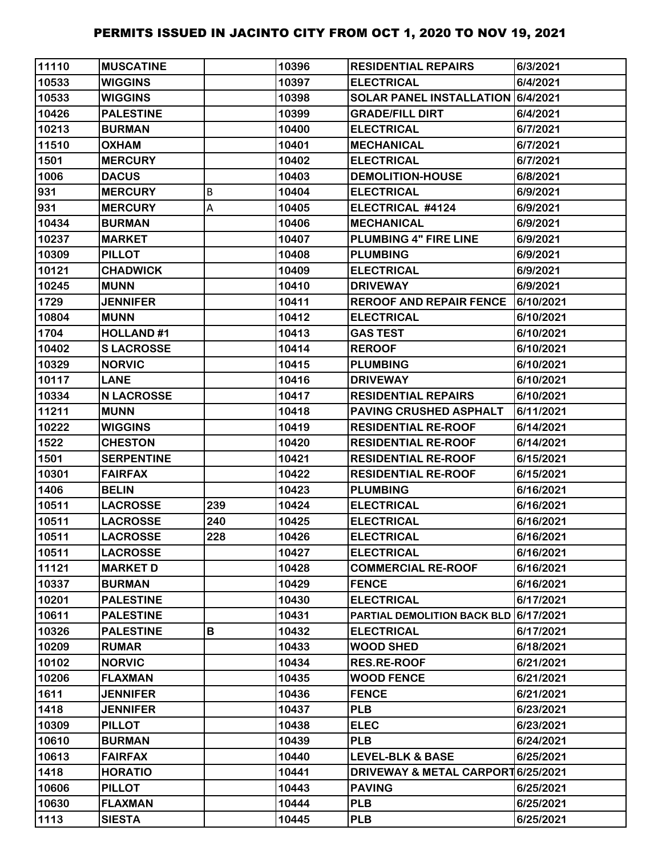| 11110 | <b>MUSCATINE</b>  |     | 10396 | <b>RESIDENTIAL REPAIRS</b>            | 6/3/2021  |
|-------|-------------------|-----|-------|---------------------------------------|-----------|
| 10533 | <b>WIGGINS</b>    |     | 10397 | <b>ELECTRICAL</b>                     | 6/4/2021  |
| 10533 | <b>WIGGINS</b>    |     | 10398 | SOLAR PANEL INSTALLATION 6/4/2021     |           |
| 10426 | <b>PALESTINE</b>  |     | 10399 | <b>GRADE/FILL DIRT</b>                | 6/4/2021  |
| 10213 | <b>BURMAN</b>     |     | 10400 | <b>ELECTRICAL</b>                     | 6/7/2021  |
| 11510 | <b>OXHAM</b>      |     | 10401 | <b>MECHANICAL</b>                     | 6/7/2021  |
| 1501  | <b>MERCURY</b>    |     | 10402 | <b>ELECTRICAL</b>                     | 6/7/2021  |
| 1006  | <b>DACUS</b>      |     | 10403 | <b>DEMOLITION-HOUSE</b>               | 6/8/2021  |
| 931   | <b>MERCURY</b>    | B   | 10404 | <b>ELECTRICAL</b>                     | 6/9/2021  |
| 931   | <b>MERCURY</b>    | А   | 10405 | ELECTRICAL #4124                      | 6/9/2021  |
| 10434 | <b>BURMAN</b>     |     | 10406 | <b>MECHANICAL</b>                     | 6/9/2021  |
| 10237 | <b>MARKET</b>     |     | 10407 | <b>PLUMBING 4" FIRE LINE</b>          | 6/9/2021  |
| 10309 | <b>PILLOT</b>     |     | 10408 | <b>PLUMBING</b>                       | 6/9/2021  |
| 10121 | <b>CHADWICK</b>   |     | 10409 | <b>ELECTRICAL</b>                     | 6/9/2021  |
| 10245 | <b>MUNN</b>       |     | 10410 | <b>DRIVEWAY</b>                       | 6/9/2021  |
| 1729  | <b>JENNIFER</b>   |     | 10411 | <b>REROOF AND REPAIR FENCE</b>        | 6/10/2021 |
| 10804 | <b>MUNN</b>       |     | 10412 | <b>ELECTRICAL</b>                     | 6/10/2021 |
| 1704  | <b>HOLLAND#1</b>  |     | 10413 | <b>GAS TEST</b>                       | 6/10/2021 |
| 10402 | <b>SLACROSSE</b>  |     | 10414 | <b>REROOF</b>                         | 6/10/2021 |
| 10329 | <b>NORVIC</b>     |     | 10415 | <b>PLUMBING</b>                       | 6/10/2021 |
| 10117 | <b>LANE</b>       |     | 10416 | <b>DRIVEWAY</b>                       | 6/10/2021 |
| 10334 | <b>N LACROSSE</b> |     | 10417 | <b>RESIDENTIAL REPAIRS</b>            | 6/10/2021 |
| 11211 | <b>MUNN</b>       |     | 10418 | PAVING CRUSHED ASPHALT                | 6/11/2021 |
| 10222 | <b>WIGGINS</b>    |     | 10419 | <b>RESIDENTIAL RE-ROOF</b>            | 6/14/2021 |
| 1522  | <b>CHESTON</b>    |     | 10420 | <b>RESIDENTIAL RE-ROOF</b>            | 6/14/2021 |
| 1501  | <b>SERPENTINE</b> |     | 10421 | <b>RESIDENTIAL RE-ROOF</b>            | 6/15/2021 |
| 10301 | <b>FAIRFAX</b>    |     | 10422 | <b>RESIDENTIAL RE-ROOF</b>            | 6/15/2021 |
| 1406  | <b>BELIN</b>      |     | 10423 | <b>PLUMBING</b>                       | 6/16/2021 |
| 10511 | <b>LACROSSE</b>   | 239 | 10424 | <b>ELECTRICAL</b>                     | 6/16/2021 |
| 10511 | <b>LACROSSE</b>   | 240 | 10425 | <b>ELECTRICAL</b>                     | 6/16/2021 |
| 10511 | <b>LACROSSE</b>   | 228 | 10426 | <b>ELECTRICAL</b>                     | 6/16/2021 |
| 10511 | <b>LACROSSE</b>   |     | 10427 | <b>ELECTRICAL</b>                     | 6/16/2021 |
| 11121 | <b>MARKET D</b>   |     | 10428 | <b>COMMERCIAL RE-ROOF</b>             | 6/16/2021 |
| 10337 | <b>BURMAN</b>     |     | 10429 | <b>FENCE</b>                          | 6/16/2021 |
| 10201 | <b>PALESTINE</b>  |     | 10430 | <b>ELECTRICAL</b>                     | 6/17/2021 |
| 10611 | <b>PALESTINE</b>  |     | 10431 | PARTIAL DEMOLITION BACK BLD 6/17/2021 |           |
| 10326 | <b>PALESTINE</b>  | В   | 10432 | <b>ELECTRICAL</b>                     | 6/17/2021 |
| 10209 | <b>RUMAR</b>      |     | 10433 | <b>WOOD SHED</b>                      | 6/18/2021 |
| 10102 | <b>NORVIC</b>     |     | 10434 | <b>RES.RE-ROOF</b>                    | 6/21/2021 |
| 10206 | <b>FLAXMAN</b>    |     | 10435 | <b>WOOD FENCE</b>                     | 6/21/2021 |
| 1611  | <b>JENNIFER</b>   |     | 10436 | <b>FENCE</b>                          | 6/21/2021 |
| 1418  | <b>JENNIFER</b>   |     | 10437 | <b>PLB</b>                            | 6/23/2021 |
| 10309 | <b>PILLOT</b>     |     | 10438 | <b>ELEC</b>                           | 6/23/2021 |
| 10610 | <b>BURMAN</b>     |     | 10439 | <b>PLB</b>                            | 6/24/2021 |
| 10613 | <b>FAIRFAX</b>    |     | 10440 | <b>LEVEL-BLK &amp; BASE</b>           | 6/25/2021 |
| 1418  | <b>HORATIO</b>    |     | 10441 | DRIVEWAY & METAL CARPORT 6/25/2021    |           |
| 10606 | <b>PILLOT</b>     |     | 10443 | <b>PAVING</b>                         | 6/25/2021 |
| 10630 | <b>FLAXMAN</b>    |     | 10444 | <b>PLB</b>                            | 6/25/2021 |
| 1113  | <b>SIESTA</b>     |     | 10445 | <b>PLB</b>                            | 6/25/2021 |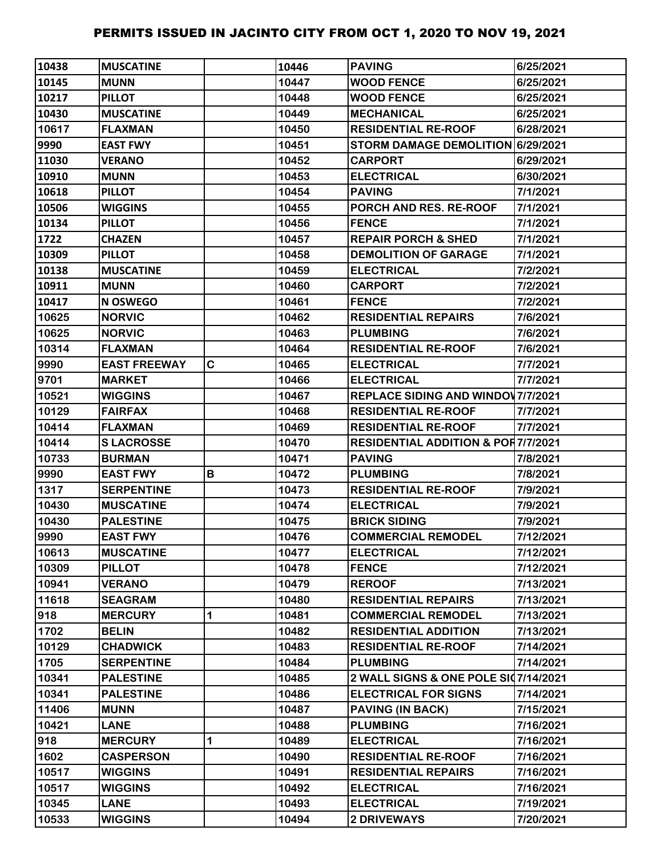| 10438 | <b>MUSCATINE</b>    |   | 10446 | <b>PAVING</b>                                 | 6/25/2021 |
|-------|---------------------|---|-------|-----------------------------------------------|-----------|
| 10145 | <b>MUNN</b>         |   | 10447 | <b>WOOD FENCE</b>                             | 6/25/2021 |
| 10217 | <b>PILLOT</b>       |   | 10448 | <b>WOOD FENCE</b>                             | 6/25/2021 |
| 10430 | <b>MUSCATINE</b>    |   | 10449 | <b>MECHANICAL</b>                             | 6/25/2021 |
| 10617 | <b>FLAXMAN</b>      |   | 10450 | <b>RESIDENTIAL RE-ROOF</b>                    | 6/28/2021 |
| 9990  | <b>EAST FWY</b>     |   | 10451 | STORM DAMAGE DEMOLITION 6/29/2021             |           |
| 11030 | <b>VERANO</b>       |   | 10452 | <b>CARPORT</b>                                | 6/29/2021 |
| 10910 | <b>MUNN</b>         |   | 10453 | <b>ELECTRICAL</b>                             | 6/30/2021 |
| 10618 | <b>PILLOT</b>       |   | 10454 | <b>PAVING</b>                                 | 7/1/2021  |
| 10506 | <b>WIGGINS</b>      |   | 10455 | PORCH AND RES. RE-ROOF                        | 7/1/2021  |
| 10134 | <b>PILLOT</b>       |   | 10456 | <b>FENCE</b>                                  | 7/1/2021  |
| 1722  | <b>CHAZEN</b>       |   | 10457 | <b>REPAIR PORCH &amp; SHED</b>                | 7/1/2021  |
| 10309 | <b>PILLOT</b>       |   | 10458 | <b>DEMOLITION OF GARAGE</b>                   | 7/1/2021  |
| 10138 | <b>MUSCATINE</b>    |   | 10459 | <b>ELECTRICAL</b>                             | 7/2/2021  |
| 10911 | <b>MUNN</b>         |   | 10460 | <b>CARPORT</b>                                | 7/2/2021  |
| 10417 | <b>N OSWEGO</b>     |   | 10461 | <b>FENCE</b>                                  | 7/2/2021  |
| 10625 | <b>NORVIC</b>       |   | 10462 | <b>RESIDENTIAL REPAIRS</b>                    | 7/6/2021  |
| 10625 | <b>NORVIC</b>       |   | 10463 | <b>PLUMBING</b>                               | 7/6/2021  |
| 10314 | <b>FLAXMAN</b>      |   | 10464 | <b>RESIDENTIAL RE-ROOF</b>                    | 7/6/2021  |
| 9990  | <b>EAST FREEWAY</b> | C | 10465 | <b>ELECTRICAL</b>                             | 7/7/2021  |
| 9701  | <b>MARKET</b>       |   | 10466 | <b>ELECTRICAL</b>                             | 7/7/2021  |
| 10521 | <b>WIGGINS</b>      |   | 10467 | <b>REPLACE SIDING AND WINDOV 7/7/2021</b>     |           |
| 10129 | <b>FAIRFAX</b>      |   | 10468 | <b>RESIDENTIAL RE-ROOF</b>                    | 7/7/2021  |
| 10414 | <b>FLAXMAN</b>      |   | 10469 | <b>RESIDENTIAL RE-ROOF</b>                    | 7/7/2021  |
| 10414 | <b>SLACROSSE</b>    |   | 10470 | <b>RESIDENTIAL ADDITION &amp; POR7/7/2021</b> |           |
| 10733 | <b>BURMAN</b>       |   | 10471 | <b>PAVING</b>                                 | 7/8/2021  |
| 9990  | <b>EAST FWY</b>     | B | 10472 | <b>PLUMBING</b>                               | 7/8/2021  |
| 1317  | <b>SERPENTINE</b>   |   | 10473 | <b>RESIDENTIAL RE-ROOF</b>                    | 7/9/2021  |
| 10430 | <b>MUSCATINE</b>    |   | 10474 | <b>ELECTRICAL</b>                             | 7/9/2021  |
| 10430 | <b>PALESTINE</b>    |   | 10475 | <b>BRICK SIDING</b>                           | 7/9/2021  |
| 9990  | <b>EAST FWY</b>     |   | 10476 | <b>COMMERCIAL REMODEL</b>                     | 7/12/2021 |
| 10613 | <b>MUSCATINE</b>    |   | 10477 | <b>ELECTRICAL</b>                             | 7/12/2021 |
| 10309 | <b>PILLOT</b>       |   | 10478 | <b>FENCE</b>                                  | 7/12/2021 |
| 10941 | <b>VERANO</b>       |   | 10479 | <b>REROOF</b>                                 | 7/13/2021 |
| 11618 | <b>SEAGRAM</b>      |   | 10480 | <b>RESIDENTIAL REPAIRS</b>                    | 7/13/2021 |
| 918   | <b>MERCURY</b>      | 1 | 10481 | <b>COMMERCIAL REMODEL</b>                     | 7/13/2021 |
| 1702  | <b>BELIN</b>        |   | 10482 | <b>RESIDENTIAL ADDITION</b>                   | 7/13/2021 |
| 10129 | <b>CHADWICK</b>     |   | 10483 | <b>RESIDENTIAL RE-ROOF</b>                    | 7/14/2021 |
| 1705  | <b>SERPENTINE</b>   |   | 10484 | <b>PLUMBING</b>                               | 7/14/2021 |
| 10341 | <b>PALESTINE</b>    |   | 10485 | 2 WALL SIGNS & ONE POLE SI07/14/2021          |           |
| 10341 | <b>PALESTINE</b>    |   | 10486 | <b>ELECTRICAL FOR SIGNS</b>                   | 7/14/2021 |
| 11406 | <b>MUNN</b>         |   | 10487 | <b>PAVING (IN BACK)</b>                       | 7/15/2021 |
| 10421 | <b>LANE</b>         |   | 10488 | <b>PLUMBING</b>                               | 7/16/2021 |
| 918   | <b>MERCURY</b>      | 1 | 10489 | <b>ELECTRICAL</b>                             | 7/16/2021 |
| 1602  | <b>CASPERSON</b>    |   | 10490 | <b>RESIDENTIAL RE-ROOF</b>                    | 7/16/2021 |
| 10517 | <b>WIGGINS</b>      |   | 10491 | <b>RESIDENTIAL REPAIRS</b>                    | 7/16/2021 |
| 10517 | <b>WIGGINS</b>      |   | 10492 | <b>ELECTRICAL</b>                             | 7/16/2021 |
| 10345 | <b>LANE</b>         |   | 10493 | <b>ELECTRICAL</b>                             | 7/19/2021 |
| 10533 | <b>WIGGINS</b>      |   | 10494 | <b>2 DRIVEWAYS</b>                            | 7/20/2021 |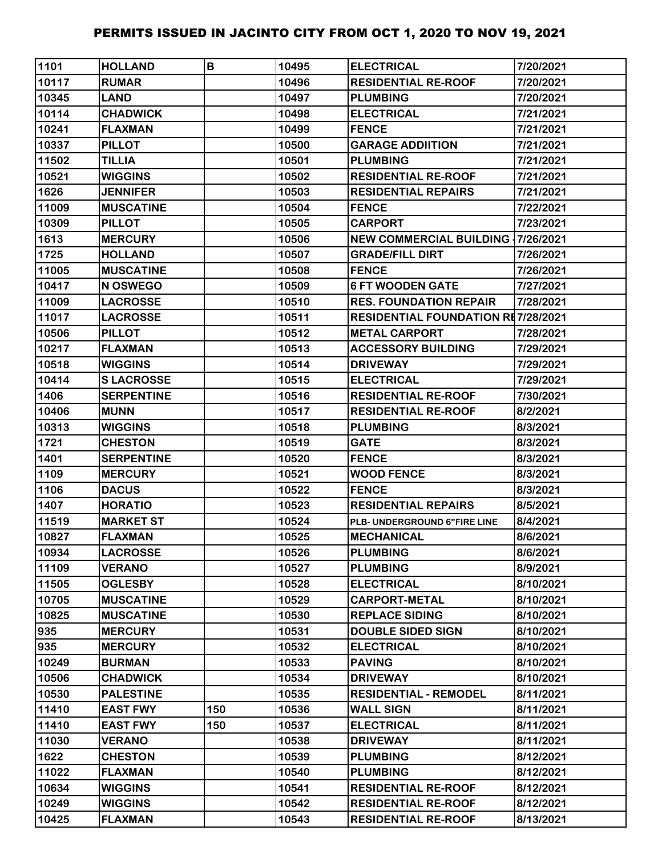| 1101  | <b>HOLLAND</b>    | B   | 10495 | <b>ELECTRICAL</b>                         | 7/20/2021 |
|-------|-------------------|-----|-------|-------------------------------------------|-----------|
| 10117 | <b>RUMAR</b>      |     | 10496 | <b>RESIDENTIAL RE-ROOF</b>                | 7/20/2021 |
| 10345 | <b>LAND</b>       |     | 10497 | <b>PLUMBING</b>                           | 7/20/2021 |
| 10114 | <b>CHADWICK</b>   |     | 10498 | <b>ELECTRICAL</b>                         | 7/21/2021 |
| 10241 | <b>FLAXMAN</b>    |     | 10499 | <b>FENCE</b>                              | 7/21/2021 |
| 10337 | <b>PILLOT</b>     |     | 10500 | <b>GARAGE ADDIITION</b>                   | 7/21/2021 |
| 11502 | <b>TILLIA</b>     |     | 10501 | <b>PLUMBING</b>                           | 7/21/2021 |
| 10521 | <b>WIGGINS</b>    |     | 10502 | <b>RESIDENTIAL RE-ROOF</b>                | 7/21/2021 |
| 1626  | <b>JENNIFER</b>   |     | 10503 | <b>RESIDENTIAL REPAIRS</b>                | 7/21/2021 |
| 11009 | <b>MUSCATINE</b>  |     | 10504 | <b>FENCE</b>                              | 7/22/2021 |
| 10309 | <b>PILLOT</b>     |     | 10505 | <b>CARPORT</b>                            | 7/23/2021 |
| 1613  | <b>MERCURY</b>    |     | 10506 | <b>NEW COMMERCIAL BUILDING 17/26/2021</b> |           |
| 1725  | <b>HOLLAND</b>    |     | 10507 | <b>GRADE/FILL DIRT</b>                    | 7/26/2021 |
| 11005 | <b>MUSCATINE</b>  |     | 10508 | <b>FENCE</b>                              | 7/26/2021 |
| 10417 | N OSWEGO          |     | 10509 | <b>6 FT WOODEN GATE</b>                   | 7/27/2021 |
| 11009 | <b>LACROSSE</b>   |     | 10510 | <b>RES. FOUNDATION REPAIR</b>             | 7/28/2021 |
| 11017 | <b>LACROSSE</b>   |     | 10511 | <b>RESIDENTIAL FOUNDATION RE7/28/2021</b> |           |
| 10506 | <b>PILLOT</b>     |     | 10512 | <b>METAL CARPORT</b>                      | 7/28/2021 |
| 10217 | <b>FLAXMAN</b>    |     | 10513 | <b>ACCESSORY BUILDING</b>                 | 7/29/2021 |
| 10518 | <b>WIGGINS</b>    |     | 10514 | <b>DRIVEWAY</b>                           | 7/29/2021 |
| 10414 | <b>SLACROSSE</b>  |     | 10515 | <b>ELECTRICAL</b>                         | 7/29/2021 |
| 1406  | <b>SERPENTINE</b> |     | 10516 | <b>RESIDENTIAL RE-ROOF</b>                | 7/30/2021 |
| 10406 | <b>MUNN</b>       |     | 10517 | <b>RESIDENTIAL RE-ROOF</b>                | 8/2/2021  |
| 10313 | <b>WIGGINS</b>    |     | 10518 | <b>PLUMBING</b>                           | 8/3/2021  |
| 1721  | <b>CHESTON</b>    |     | 10519 | <b>GATE</b>                               | 8/3/2021  |
| 1401  | <b>SERPENTINE</b> |     | 10520 | <b>FENCE</b>                              | 8/3/2021  |
| 1109  | <b>MERCURY</b>    |     | 10521 | <b>WOOD FENCE</b>                         | 8/3/2021  |
| 1106  | <b>DACUS</b>      |     | 10522 | <b>FENCE</b>                              | 8/3/2021  |
| 1407  | <b>HORATIO</b>    |     | 10523 | <b>RESIDENTIAL REPAIRS</b>                | 8/5/2021  |
| 11519 | <b>MARKET ST</b>  |     | 10524 | PLB- UNDERGROUND 6"FIRE LINE              | 8/4/2021  |
| 10827 | <b>FLAXMAN</b>    |     | 10525 | <b>MECHANICAL</b>                         | 8/6/2021  |
| 10934 | <b>LACROSSE</b>   |     | 10526 | <b>PLUMBING</b>                           | 8/6/2021  |
| 11109 | <b>VERANO</b>     |     | 10527 | <b>PLUMBING</b>                           | 8/9/2021  |
| 11505 | <b>OGLESBY</b>    |     | 10528 | <b>ELECTRICAL</b>                         | 8/10/2021 |
| 10705 | <b>MUSCATINE</b>  |     | 10529 | <b>CARPORT-METAL</b>                      | 8/10/2021 |
| 10825 | <b>MUSCATINE</b>  |     | 10530 | <b>REPLACE SIDING</b>                     | 8/10/2021 |
| 935   | <b>MERCURY</b>    |     | 10531 | <b>DOUBLE SIDED SIGN</b>                  | 8/10/2021 |
| 935   | <b>MERCURY</b>    |     | 10532 | <b>ELECTRICAL</b>                         | 8/10/2021 |
| 10249 | <b>BURMAN</b>     |     | 10533 | <b>PAVING</b>                             | 8/10/2021 |
| 10506 | <b>CHADWICK</b>   |     | 10534 | <b>DRIVEWAY</b>                           | 8/10/2021 |
| 10530 | <b>PALESTINE</b>  |     | 10535 | <b>RESIDENTIAL - REMODEL</b>              | 8/11/2021 |
| 11410 | <b>EAST FWY</b>   | 150 | 10536 | <b>WALL SIGN</b>                          | 8/11/2021 |
| 11410 | <b>EAST FWY</b>   | 150 | 10537 | <b>ELECTRICAL</b>                         | 8/11/2021 |
| 11030 | <b>VERANO</b>     |     | 10538 | <b>DRIVEWAY</b>                           | 8/11/2021 |
| 1622  | <b>CHESTON</b>    |     | 10539 | <b>PLUMBING</b>                           | 8/12/2021 |
| 11022 | <b>FLAXMAN</b>    |     | 10540 | <b>PLUMBING</b>                           | 8/12/2021 |
| 10634 | <b>WIGGINS</b>    |     | 10541 | <b>RESIDENTIAL RE-ROOF</b>                | 8/12/2021 |
| 10249 | <b>WIGGINS</b>    |     | 10542 | <b>RESIDENTIAL RE-ROOF</b>                | 8/12/2021 |
| 10425 | <b>FLAXMAN</b>    |     | 10543 | <b>RESIDENTIAL RE-ROOF</b>                | 8/13/2021 |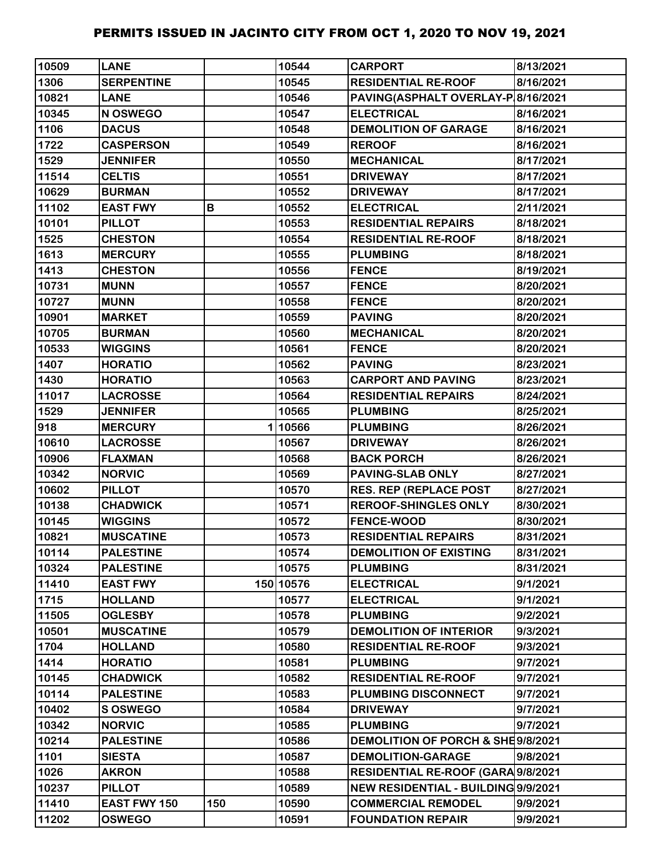| 10509 | <b>LANE</b>       |     | 10544     | <b>CARPORT</b>                      | 8/13/2021 |
|-------|-------------------|-----|-----------|-------------------------------------|-----------|
| 1306  | <b>SERPENTINE</b> |     | 10545     | <b>RESIDENTIAL RE-ROOF</b>          | 8/16/2021 |
| 10821 | <b>LANE</b>       |     | 10546     | PAVING(ASPHALT OVERLAY-P 8/16/2021  |           |
| 10345 | N OSWEGO          |     | 10547     | <b>ELECTRICAL</b>                   | 8/16/2021 |
| 1106  | <b>DACUS</b>      |     | 10548     | <b>DEMOLITION OF GARAGE</b>         | 8/16/2021 |
| 1722  | <b>CASPERSON</b>  |     | 10549     | <b>REROOF</b>                       | 8/16/2021 |
| 1529  | <b>JENNIFER</b>   |     | 10550     | <b>MECHANICAL</b>                   | 8/17/2021 |
| 11514 | <b>CELTIS</b>     |     | 10551     | <b>DRIVEWAY</b>                     | 8/17/2021 |
| 10629 | <b>BURMAN</b>     |     | 10552     | <b>DRIVEWAY</b>                     | 8/17/2021 |
| 11102 | <b>EAST FWY</b>   | В   | 10552     | <b>ELECTRICAL</b>                   | 2/11/2021 |
| 10101 | <b>PILLOT</b>     |     | 10553     | <b>RESIDENTIAL REPAIRS</b>          | 8/18/2021 |
| 1525  | <b>CHESTON</b>    |     | 10554     | <b>RESIDENTIAL RE-ROOF</b>          | 8/18/2021 |
| 1613  | <b>MERCURY</b>    |     | 10555     | <b>PLUMBING</b>                     | 8/18/2021 |
| 1413  | <b>CHESTON</b>    |     | 10556     | <b>FENCE</b>                        | 8/19/2021 |
| 10731 | <b>MUNN</b>       |     | 10557     | <b>FENCE</b>                        | 8/20/2021 |
| 10727 | <b>MUNN</b>       |     | 10558     | <b>FENCE</b>                        | 8/20/2021 |
| 10901 | <b>MARKET</b>     |     | 10559     | <b>PAVING</b>                       | 8/20/2021 |
| 10705 | <b>BURMAN</b>     |     | 10560     | <b>MECHANICAL</b>                   | 8/20/2021 |
| 10533 | <b>WIGGINS</b>    |     | 10561     | <b>FENCE</b>                        | 8/20/2021 |
| 1407  | <b>HORATIO</b>    |     | 10562     | <b>PAVING</b>                       | 8/23/2021 |
| 1430  | <b>HORATIO</b>    |     | 10563     | <b>CARPORT AND PAVING</b>           | 8/23/2021 |
| 11017 | <b>LACROSSE</b>   |     | 10564     | <b>RESIDENTIAL REPAIRS</b>          | 8/24/2021 |
| 1529  | <b>JENNIFER</b>   |     | 10565     | <b>PLUMBING</b>                     | 8/25/2021 |
| 918   | <b>MERCURY</b>    |     | 110566    | <b>PLUMBING</b>                     | 8/26/2021 |
| 10610 | <b>LACROSSE</b>   |     | 10567     | <b>DRIVEWAY</b>                     | 8/26/2021 |
| 10906 | <b>FLAXMAN</b>    |     | 10568     | <b>BACK PORCH</b>                   | 8/26/2021 |
| 10342 | <b>NORVIC</b>     |     | 10569     | <b>PAVING-SLAB ONLY</b>             | 8/27/2021 |
| 10602 | <b>PILLOT</b>     |     | 10570     | <b>RES. REP (REPLACE POST</b>       | 8/27/2021 |
| 10138 | <b>CHADWICK</b>   |     | 10571     | <b>REROOF-SHINGLES ONLY</b>         | 8/30/2021 |
| 10145 | <b>WIGGINS</b>    |     | 10572     | <b>FENCE-WOOD</b>                   | 8/30/2021 |
| 10821 | <b>MUSCATINE</b>  |     | 10573     | <b>RESIDENTIAL REPAIRS</b>          | 8/31/2021 |
| 10114 | <b>PALESTINE</b>  |     | 10574     | <b>DEMOLITION OF EXISTING</b>       | 8/31/2021 |
| 10324 | <b>PALESTINE</b>  |     | 10575     | <b>PLUMBING</b>                     | 8/31/2021 |
| 11410 | <b>EAST FWY</b>   |     | 150 10576 | <b>ELECTRICAL</b>                   | 9/1/2021  |
| 1715  | <b>HOLLAND</b>    |     | 10577     | <b>ELECTRICAL</b>                   | 9/1/2021  |
| 11505 | <b>OGLESBY</b>    |     | 10578     | <b>PLUMBING</b>                     | 9/2/2021  |
| 10501 | <b>MUSCATINE</b>  |     | 10579     | <b>DEMOLITION OF INTERIOR</b>       | 9/3/2021  |
| 1704  | <b>HOLLAND</b>    |     | 10580     | <b>RESIDENTIAL RE-ROOF</b>          | 9/3/2021  |
| 1414  | <b>HORATIO</b>    |     | 10581     | <b>PLUMBING</b>                     | 9/7/2021  |
| 10145 | <b>CHADWICK</b>   |     | 10582     | <b>RESIDENTIAL RE-ROOF</b>          | 9/7/2021  |
| 10114 | <b>PALESTINE</b>  |     | 10583     | PLUMBING DISCONNECT                 | 9/7/2021  |
| 10402 | <b>SOSWEGO</b>    |     | 10584     | <b>DRIVEWAY</b>                     | 9/7/2021  |
| 10342 | <b>NORVIC</b>     |     | 10585     | <b>PLUMBING</b>                     | 9/7/2021  |
| 10214 | <b>PALESTINE</b>  |     | 10586     | DEMOLITION OF PORCH & SHE9/8/2021   |           |
| 1101  | <b>SIESTA</b>     |     | 10587     | <b>DEMOLITION-GARAGE</b>            | 9/8/2021  |
| 1026  | <b>AKRON</b>      |     | 10588     | RESIDENTIAL RE-ROOF (GARA 9/8/2021  |           |
| 10237 | <b>PILLOT</b>     |     | 10589     | NEW RESIDENTIAL - BUILDING 9/9/2021 |           |
| 11410 | EAST FWY 150      | 150 | 10590     | <b>COMMERCIAL REMODEL</b>           | 9/9/2021  |
| 11202 | <b>OSWEGO</b>     |     | 10591     | <b>FOUNDATION REPAIR</b>            | 9/9/2021  |
|       |                   |     |           |                                     |           |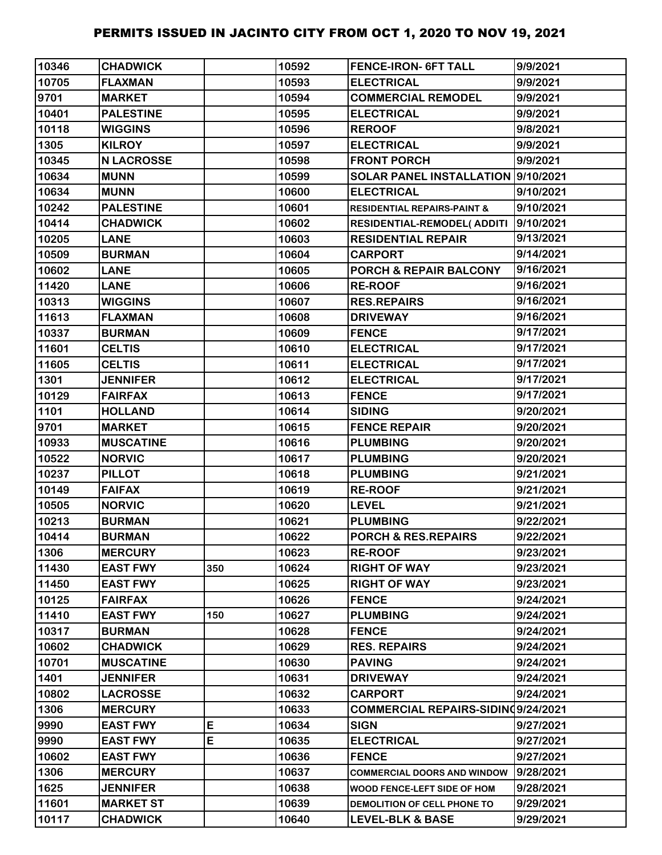| 10346 | <b>CHADWICK</b>   |     | 10592 | <b>FENCE-IRON- 6FT TALL</b>            | 9/9/2021  |
|-------|-------------------|-----|-------|----------------------------------------|-----------|
| 10705 | <b>FLAXMAN</b>    |     | 10593 | <b>ELECTRICAL</b>                      | 9/9/2021  |
| 9701  | <b>MARKET</b>     |     | 10594 | <b>COMMERCIAL REMODEL</b>              | 9/9/2021  |
| 10401 | <b>PALESTINE</b>  |     | 10595 | <b>ELECTRICAL</b>                      | 9/9/2021  |
| 10118 | <b>WIGGINS</b>    |     | 10596 | <b>REROOF</b>                          | 9/8/2021  |
| 1305  | <b>KILROY</b>     |     | 10597 | <b>ELECTRICAL</b>                      | 9/9/2021  |
| 10345 | <b>N LACROSSE</b> |     | 10598 | <b>FRONT PORCH</b>                     | 9/9/2021  |
| 10634 | <b>MUNN</b>       |     | 10599 | SOLAR PANEL INSTALLATION 9/10/2021     |           |
| 10634 | <b>MUNN</b>       |     | 10600 | <b>ELECTRICAL</b>                      | 9/10/2021 |
| 10242 | <b>PALESTINE</b>  |     | 10601 | <b>RESIDENTIAL REPAIRS-PAINT &amp;</b> | 9/10/2021 |
| 10414 | <b>CHADWICK</b>   |     | 10602 | <b>RESIDENTIAL-REMODEL( ADDITI</b>     | 9/10/2021 |
| 10205 | <b>LANE</b>       |     | 10603 | <b>RESIDENTIAL REPAIR</b>              | 9/13/2021 |
| 10509 | <b>BURMAN</b>     |     | 10604 | <b>CARPORT</b>                         | 9/14/2021 |
| 10602 | <b>LANE</b>       |     | 10605 | PORCH & REPAIR BALCONY                 | 9/16/2021 |
| 11420 | <b>LANE</b>       |     | 10606 | <b>RE-ROOF</b>                         | 9/16/2021 |
| 10313 | <b>WIGGINS</b>    |     | 10607 | <b>RES.REPAIRS</b>                     | 9/16/2021 |
| 11613 | <b>FLAXMAN</b>    |     | 10608 | <b>DRIVEWAY</b>                        | 9/16/2021 |
| 10337 | <b>BURMAN</b>     |     | 10609 | <b>FENCE</b>                           | 9/17/2021 |
| 11601 | <b>CELTIS</b>     |     | 10610 | <b>ELECTRICAL</b>                      | 9/17/2021 |
| 11605 | <b>CELTIS</b>     |     | 10611 | <b>ELECTRICAL</b>                      | 9/17/2021 |
| 1301  | <b>JENNIFER</b>   |     | 10612 | <b>ELECTRICAL</b>                      | 9/17/2021 |
| 10129 | <b>FAIRFAX</b>    |     | 10613 | <b>FENCE</b>                           | 9/17/2021 |
| 1101  | <b>HOLLAND</b>    |     | 10614 | <b>SIDING</b>                          | 9/20/2021 |
| 9701  | <b>MARKET</b>     |     | 10615 | <b>FENCE REPAIR</b>                    | 9/20/2021 |
| 10933 | <b>MUSCATINE</b>  |     | 10616 | <b>PLUMBING</b>                        | 9/20/2021 |
| 10522 | <b>NORVIC</b>     |     | 10617 | <b>PLUMBING</b>                        | 9/20/2021 |
| 10237 | <b>PILLOT</b>     |     | 10618 | <b>PLUMBING</b>                        | 9/21/2021 |
| 10149 | <b>FAIFAX</b>     |     | 10619 | <b>RE-ROOF</b>                         | 9/21/2021 |
| 10505 | <b>NORVIC</b>     |     | 10620 | <b>LEVEL</b>                           | 9/21/2021 |
| 10213 | <b>BURMAN</b>     |     | 10621 | <b>PLUMBING</b>                        | 9/22/2021 |
| 10414 | <b>BURMAN</b>     |     | 10622 | PORCH & RES.REPAIRS                    | 9/22/2021 |
| 1306  | <b>MERCURY</b>    |     | 10623 | <b>RE-ROOF</b>                         | 9/23/2021 |
| 11430 | <b>EAST FWY</b>   | 350 | 10624 | <b>RIGHT OF WAY</b>                    | 9/23/2021 |
| 11450 | <b>EAST FWY</b>   |     | 10625 | <b>RIGHT OF WAY</b>                    | 9/23/2021 |
| 10125 | <b>FAIRFAX</b>    |     | 10626 | <b>FENCE</b>                           | 9/24/2021 |
| 11410 | <b>EAST FWY</b>   | 150 | 10627 | <b>PLUMBING</b>                        | 9/24/2021 |
| 10317 | <b>BURMAN</b>     |     | 10628 | <b>FENCE</b>                           | 9/24/2021 |
| 10602 | <b>CHADWICK</b>   |     | 10629 | <b>RES. REPAIRS</b>                    | 9/24/2021 |
| 10701 | <b>MUSCATINE</b>  |     | 10630 | <b>PAVING</b>                          | 9/24/2021 |
| 1401  | <b>JENNIFER</b>   |     | 10631 | <b>DRIVEWAY</b>                        | 9/24/2021 |
| 10802 | <b>LACROSSE</b>   |     | 10632 | CARPORT                                | 9/24/2021 |
| 1306  | <b>MERCURY</b>    |     | 10633 | COMMERCIAL REPAIRS-SIDINQ9/24/2021     |           |
| 9990  | <b>EAST FWY</b>   | E   | 10634 | <b>SIGN</b>                            | 9/27/2021 |
| 9990  | <b>EAST FWY</b>   | E   | 10635 | <b>ELECTRICAL</b>                      | 9/27/2021 |
| 10602 | <b>EAST FWY</b>   |     | 10636 | <b>FENCE</b>                           | 9/27/2021 |
| 1306  | <b>MERCURY</b>    |     | 10637 | <b>COMMERCIAL DOORS AND WINDOW</b>     | 9/28/2021 |
| 1625  | <b>JENNIFER</b>   |     | 10638 | WOOD FENCE-LEFT SIDE OF HOM            | 9/28/2021 |
| 11601 | <b>MARKET ST</b>  |     | 10639 | DEMOLITION OF CELL PHONE TO            | 9/29/2021 |
| 10117 | <b>CHADWICK</b>   |     | 10640 | <b>LEVEL-BLK &amp; BASE</b>            | 9/29/2021 |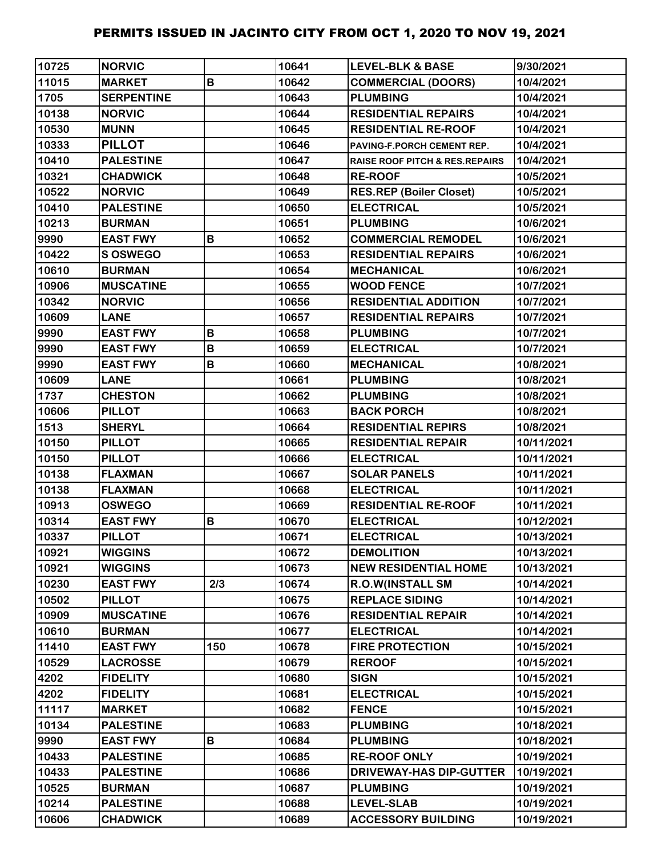| 10725 | <b>NORVIC</b>     |     | 10641 | <b>LEVEL-BLK &amp; BASE</b>               | 9/30/2021  |
|-------|-------------------|-----|-------|-------------------------------------------|------------|
| 11015 | <b>MARKET</b>     | B   | 10642 | <b>COMMERCIAL (DOORS)</b>                 | 10/4/2021  |
| 1705  | <b>SERPENTINE</b> |     | 10643 | <b>PLUMBING</b>                           | 10/4/2021  |
| 10138 | <b>NORVIC</b>     |     | 10644 | <b>RESIDENTIAL REPAIRS</b>                | 10/4/2021  |
| 10530 | <b>MUNN</b>       |     | 10645 | <b>RESIDENTIAL RE-ROOF</b>                | 10/4/2021  |
| 10333 | <b>PILLOT</b>     |     | 10646 | PAVING-F.PORCH CEMENT REP.                | 10/4/2021  |
| 10410 | <b>PALESTINE</b>  |     | 10647 | <b>RAISE ROOF PITCH &amp; RES.REPAIRS</b> | 10/4/2021  |
| 10321 | <b>CHADWICK</b>   |     | 10648 | <b>RE-ROOF</b>                            | 10/5/2021  |
| 10522 | <b>NORVIC</b>     |     | 10649 | <b>RES.REP (Boiler Closet)</b>            | 10/5/2021  |
| 10410 | <b>PALESTINE</b>  |     | 10650 | <b>ELECTRICAL</b>                         | 10/5/2021  |
| 10213 | <b>BURMAN</b>     |     | 10651 | <b>PLUMBING</b>                           | 10/6/2021  |
| 9990  | <b>EAST FWY</b>   | B   | 10652 | <b>COMMERCIAL REMODEL</b>                 | 10/6/2021  |
| 10422 | <b>S OSWEGO</b>   |     | 10653 | <b>RESIDENTIAL REPAIRS</b>                | 10/6/2021  |
| 10610 | <b>BURMAN</b>     |     | 10654 | <b>MECHANICAL</b>                         | 10/6/2021  |
| 10906 | <b>MUSCATINE</b>  |     | 10655 | <b>WOOD FENCE</b>                         | 10/7/2021  |
| 10342 | <b>NORVIC</b>     |     | 10656 | <b>RESIDENTIAL ADDITION</b>               | 10/7/2021  |
| 10609 | <b>LANE</b>       |     | 10657 | <b>RESIDENTIAL REPAIRS</b>                | 10/7/2021  |
| 9990  | <b>EAST FWY</b>   | B   | 10658 | <b>PLUMBING</b>                           | 10/7/2021  |
| 9990  | <b>EAST FWY</b>   | B   | 10659 | <b>ELECTRICAL</b>                         | 10/7/2021  |
| 9990  | <b>EAST FWY</b>   | B   | 10660 | <b>MECHANICAL</b>                         | 10/8/2021  |
| 10609 | <b>LANE</b>       |     | 10661 | <b>PLUMBING</b>                           | 10/8/2021  |
| 1737  | <b>CHESTON</b>    |     | 10662 | <b>PLUMBING</b>                           | 10/8/2021  |
| 10606 | <b>PILLOT</b>     |     | 10663 | <b>BACK PORCH</b>                         | 10/8/2021  |
| 1513  | <b>SHERYL</b>     |     | 10664 | <b>RESIDENTIAL REPIRS</b>                 | 10/8/2021  |
| 10150 | <b>PILLOT</b>     |     | 10665 | <b>RESIDENTIAL REPAIR</b>                 | 10/11/2021 |
| 10150 | <b>PILLOT</b>     |     | 10666 | <b>ELECTRICAL</b>                         | 10/11/2021 |
| 10138 | <b>FLAXMAN</b>    |     | 10667 | <b>SOLAR PANELS</b>                       | 10/11/2021 |
| 10138 | <b>FLAXMAN</b>    |     | 10668 | <b>ELECTRICAL</b>                         | 10/11/2021 |
| 10913 | <b>OSWEGO</b>     |     | 10669 | <b>RESIDENTIAL RE-ROOF</b>                | 10/11/2021 |
| 10314 | <b>EAST FWY</b>   | B   | 10670 | <b>ELECTRICAL</b>                         | 10/12/2021 |
| 10337 | <b>PILLOT</b>     |     | 10671 | <b>ELECTRICAL</b>                         | 10/13/2021 |
| 10921 | <b>WIGGINS</b>    |     | 10672 | <b>DEMOLITION</b>                         | 10/13/2021 |
| 10921 | <b>WIGGINS</b>    |     | 10673 | <b>NEW RESIDENTIAL HOME</b>               | 10/13/2021 |
| 10230 | <b>EAST FWY</b>   | 2/3 | 10674 | <b>R.O.W(INSTALL SM</b>                   | 10/14/2021 |
| 10502 | <b>PILLOT</b>     |     | 10675 | <b>REPLACE SIDING</b>                     | 10/14/2021 |
| 10909 | <b>MUSCATINE</b>  |     | 10676 | <b>RESIDENTIAL REPAIR</b>                 | 10/14/2021 |
| 10610 | <b>BURMAN</b>     |     | 10677 | <b>ELECTRICAL</b>                         | 10/14/2021 |
| 11410 | <b>EAST FWY</b>   | 150 | 10678 | <b>FIRE PROTECTION</b>                    | 10/15/2021 |
| 10529 | <b>LACROSSE</b>   |     | 10679 | <b>REROOF</b>                             | 10/15/2021 |
| 4202  | <b>FIDELITY</b>   |     | 10680 | <b>SIGN</b>                               | 10/15/2021 |
| 4202  | <b>FIDELITY</b>   |     | 10681 | <b>ELECTRICAL</b>                         | 10/15/2021 |
| 11117 | <b>MARKET</b>     |     | 10682 | <b>FENCE</b>                              | 10/15/2021 |
| 10134 | <b>PALESTINE</b>  |     | 10683 | <b>PLUMBING</b>                           | 10/18/2021 |
| 9990  | <b>EAST FWY</b>   | B   | 10684 | <b>PLUMBING</b>                           | 10/18/2021 |
| 10433 | <b>PALESTINE</b>  |     | 10685 | <b>RE-ROOF ONLY</b>                       | 10/19/2021 |
| 10433 | <b>PALESTINE</b>  |     | 10686 | <b>DRIVEWAY-HAS DIP-GUTTER</b>            | 10/19/2021 |
| 10525 | <b>BURMAN</b>     |     | 10687 | <b>PLUMBING</b>                           | 10/19/2021 |
| 10214 | <b>PALESTINE</b>  |     | 10688 | <b>LEVEL-SLAB</b>                         | 10/19/2021 |
| 10606 | <b>CHADWICK</b>   |     | 10689 | <b>ACCESSORY BUILDING</b>                 | 10/19/2021 |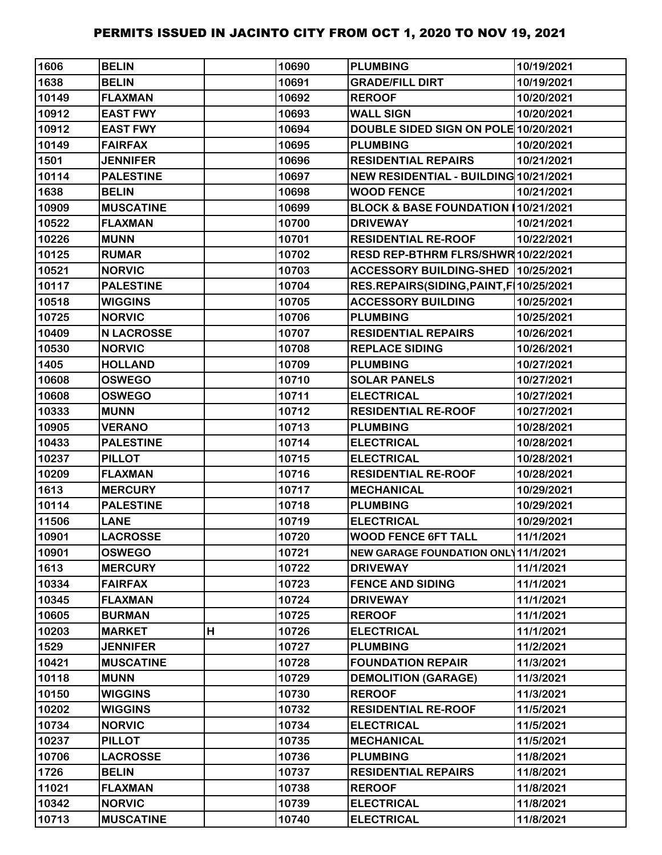| 1606  | <b>BELIN</b>      |   | 10690 | <b>PLUMBING</b>                            | 10/19/2021 |
|-------|-------------------|---|-------|--------------------------------------------|------------|
| 1638  | <b>BELIN</b>      |   | 10691 | <b>GRADE/FILL DIRT</b>                     | 10/19/2021 |
| 10149 | <b>FLAXMAN</b>    |   | 10692 | <b>REROOF</b>                              | 10/20/2021 |
| 10912 | <b>EAST FWY</b>   |   | 10693 | <b>WALL SIGN</b>                           | 10/20/2021 |
| 10912 | <b>EAST FWY</b>   |   | 10694 | DOUBLE SIDED SIGN ON POLE 10/20/2021       |            |
| 10149 | <b>FAIRFAX</b>    |   | 10695 | <b>PLUMBING</b>                            | 10/20/2021 |
| 1501  | <b>JENNIFER</b>   |   | 10696 | <b>RESIDENTIAL REPAIRS</b>                 | 10/21/2021 |
| 10114 | <b>PALESTINE</b>  |   | 10697 | NEW RESIDENTIAL - BUILDING 10/21/2021      |            |
| 1638  | <b>BELIN</b>      |   | 10698 | <b>WOOD FENCE</b>                          | 10/21/2021 |
| 10909 | <b>MUSCATINE</b>  |   | 10699 | BLOCK & BASE FOUNDATION 10/21/2021         |            |
| 10522 | <b>FLAXMAN</b>    |   | 10700 | <b>DRIVEWAY</b>                            | 10/21/2021 |
| 10226 | <b>MUNN</b>       |   | 10701 | <b>RESIDENTIAL RE-ROOF</b>                 | 10/22/2021 |
| 10125 | <b>RUMAR</b>      |   | 10702 | RESD REP-BTHRM FLRS/SHWR 10/22/2021        |            |
| 10521 | <b>NORVIC</b>     |   | 10703 | ACCESSORY BUILDING-SHED 10/25/2021         |            |
| 10117 | <b>PALESTINE</b>  |   | 10704 | RES.REPAIRS(SIDING, PAINT, F   10/25/2021  |            |
| 10518 | <b>WIGGINS</b>    |   | 10705 | <b>ACCESSORY BUILDING</b>                  | 10/25/2021 |
| 10725 | <b>NORVIC</b>     |   | 10706 | <b>PLUMBING</b>                            | 10/25/2021 |
| 10409 | <b>N LACROSSE</b> |   | 10707 | <b>RESIDENTIAL REPAIRS</b>                 | 10/26/2021 |
| 10530 | <b>NORVIC</b>     |   | 10708 | <b>REPLACE SIDING</b>                      | 10/26/2021 |
| 1405  | <b>HOLLAND</b>    |   | 10709 | <b>PLUMBING</b>                            | 10/27/2021 |
| 10608 | <b>OSWEGO</b>     |   | 10710 | <b>SOLAR PANELS</b>                        | 10/27/2021 |
| 10608 | <b>OSWEGO</b>     |   | 10711 | <b>ELECTRICAL</b>                          | 10/27/2021 |
| 10333 | <b>MUNN</b>       |   | 10712 | <b>RESIDENTIAL RE-ROOF</b>                 | 10/27/2021 |
| 10905 | <b>VERANO</b>     |   | 10713 | <b>PLUMBING</b>                            | 10/28/2021 |
| 10433 | <b>PALESTINE</b>  |   | 10714 | <b>ELECTRICAL</b>                          | 10/28/2021 |
| 10237 | <b>PILLOT</b>     |   | 10715 | <b>ELECTRICAL</b>                          | 10/28/2021 |
| 10209 | <b>FLAXMAN</b>    |   | 10716 | <b>RESIDENTIAL RE-ROOF</b>                 | 10/28/2021 |
| 1613  | <b>MERCURY</b>    |   | 10717 | <b>MECHANICAL</b>                          | 10/29/2021 |
| 10114 | <b>PALESTINE</b>  |   | 10718 | <b>PLUMBING</b>                            | 10/29/2021 |
| 11506 | <b>LANE</b>       |   | 10719 | <b>ELECTRICAL</b>                          | 10/29/2021 |
| 10901 | <b>LACROSSE</b>   |   | 10720 | <b>WOOD FENCE 6FT TALL</b>                 | 11/1/2021  |
| 10901 | <b>OSWEGO</b>     |   | 10721 | <b>NEW GARAGE FOUNDATION ONL 11/1/2021</b> |            |
| 1613  | <b>MERCURY</b>    |   | 10722 | <b>DRIVEWAY</b>                            | 11/1/2021  |
| 10334 | <b>FAIRFAX</b>    |   | 10723 | <b>FENCE AND SIDING</b>                    | 11/1/2021  |
| 10345 | <b>FLAXMAN</b>    |   | 10724 | <b>DRIVEWAY</b>                            | 11/1/2021  |
| 10605 | <b>BURMAN</b>     |   | 10725 | <b>REROOF</b>                              | 11/1/2021  |
| 10203 | <b>MARKET</b>     | Н | 10726 | <b>ELECTRICAL</b>                          | 11/1/2021  |
| 1529  | <b>JENNIFER</b>   |   | 10727 | <b>PLUMBING</b>                            | 11/2/2021  |
| 10421 | <b>MUSCATINE</b>  |   | 10728 | <b>FOUNDATION REPAIR</b>                   | 11/3/2021  |
| 10118 | <b>MUNN</b>       |   | 10729 | <b>DEMOLITION (GARAGE)</b>                 | 11/3/2021  |
| 10150 | <b>WIGGINS</b>    |   | 10730 | <b>REROOF</b>                              | 11/3/2021  |
| 10202 | <b>WIGGINS</b>    |   | 10732 | <b>RESIDENTIAL RE-ROOF</b>                 | 11/5/2021  |
| 10734 | <b>NORVIC</b>     |   | 10734 | <b>ELECTRICAL</b>                          | 11/5/2021  |
| 10237 | <b>PILLOT</b>     |   | 10735 | <b>MECHANICAL</b>                          | 11/5/2021  |
| 10706 | <b>LACROSSE</b>   |   | 10736 | <b>PLUMBING</b>                            | 11/8/2021  |
| 1726  | <b>BELIN</b>      |   | 10737 | <b>RESIDENTIAL REPAIRS</b>                 | 11/8/2021  |
| 11021 | <b>FLAXMAN</b>    |   | 10738 | <b>REROOF</b>                              | 11/8/2021  |
| 10342 | <b>NORVIC</b>     |   | 10739 | <b>ELECTRICAL</b>                          | 11/8/2021  |
| 10713 | <b>MUSCATINE</b>  |   | 10740 | <b>ELECTRICAL</b>                          | 11/8/2021  |